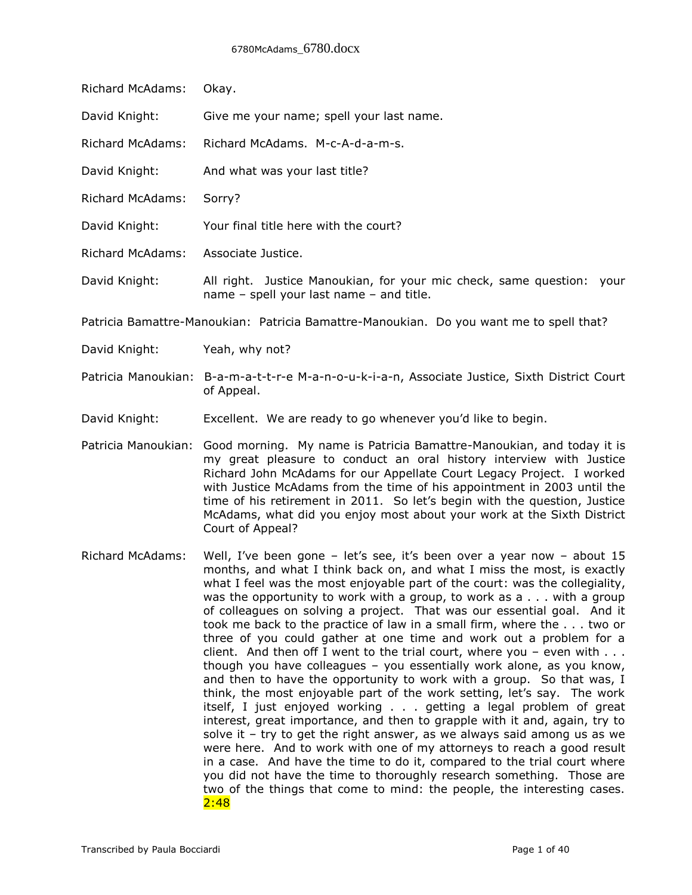| Richard McAdams:                                                                        | Okay.                                                                                                                |
|-----------------------------------------------------------------------------------------|----------------------------------------------------------------------------------------------------------------------|
| David Knight:                                                                           | Give me your name; spell your last name.                                                                             |
| Richard McAdams:                                                                        | Richard McAdams. M-c-A-d-a-m-s.                                                                                      |
| David Knight:                                                                           | And what was your last title?                                                                                        |
| Richard McAdams:                                                                        | Sorry?                                                                                                               |
| David Knight:                                                                           | Your final title here with the court?                                                                                |
| <b>Richard McAdams:</b>                                                                 | Associate Justice.                                                                                                   |
| David Knight:                                                                           | All right. Justice Manoukian, for your mic check, same question:<br>vour<br>name - spell your last name - and title. |
| Patricia Bamattre-Manoukian: Patricia Bamattre-Manoukian. Do you want me to spell that? |                                                                                                                      |
| David Knight:                                                                           | Yeah, why not?                                                                                                       |
|                                                                                         | Patricia Manoukian: B-a-m-a-t-t-r-e M-a-n-o-u-k-i-a-n, Associate Justice, Sixth District Court<br>of Appeal.         |
| David Knight:                                                                           | Excellent. We are ready to go whenever you'd like to begin.                                                          |

Patricia Manoukian: Good morning. My name is Patricia Bamattre-Manoukian, and today it is my great pleasure to conduct an oral history interview with Justice Richard John McAdams for our Appellate Court Legacy Project. I worked with Justice McAdams from the time of his appointment in 2003 until the time of his retirement in 2011. So let's begin with the question, Justice McAdams, what did you enjoy most about your work at the Sixth District Court of Appeal?

Richard McAdams: Well, I've been gone – let's see, it's been over a year now – about 15 months, and what I think back on, and what I miss the most, is exactly what I feel was the most enjoyable part of the court: was the collegiality, was the opportunity to work with a group, to work as a . . . with a group of colleagues on solving a project. That was our essential goal. And it took me back to the practice of law in a small firm, where the . . . two or three of you could gather at one time and work out a problem for a client. And then off I went to the trial court, where you - even with  $\dots$ though you have colleagues – you essentially work alone, as you know, and then to have the opportunity to work with a group. So that was, I think, the most enjoyable part of the work setting, let's say. The work itself, I just enjoyed working . . . getting a legal problem of great interest, great importance, and then to grapple with it and, again, try to solve it – try to get the right answer, as we always said among us as we were here. And to work with one of my attorneys to reach a good result in a case. And have the time to do it, compared to the trial court where you did not have the time to thoroughly research something. Those are two of the things that come to mind: the people, the interesting cases.  $2:48$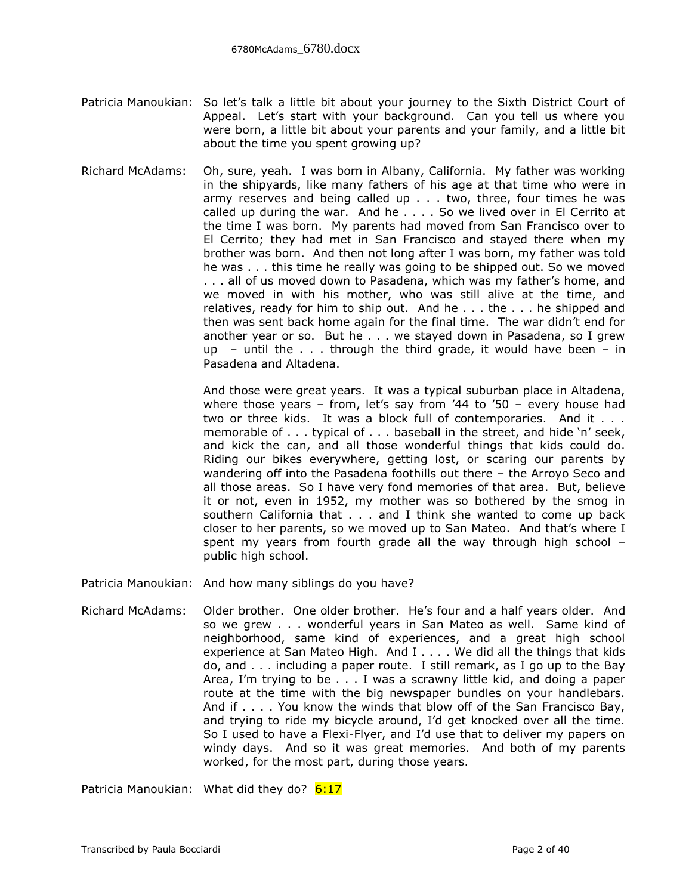- Patricia Manoukian: So let's talk a little bit about your journey to the Sixth District Court of Appeal. Let's start with your background. Can you tell us where you were born, a little bit about your parents and your family, and a little bit about the time you spent growing up?
- Richard McAdams: Oh, sure, yeah. I was born in Albany, California. My father was working in the shipyards, like many fathers of his age at that time who were in army reserves and being called up . . . two, three, four times he was called up during the war. And he . . . . So we lived over in El Cerrito at the time I was born. My parents had moved from San Francisco over to El Cerrito; they had met in San Francisco and stayed there when my brother was born. And then not long after I was born, my father was told he was . . . this time he really was going to be shipped out. So we moved . . . all of us moved down to Pasadena, which was my father's home, and we moved in with his mother, who was still alive at the time, and relatives, ready for him to ship out. And he . . . the . . . he shipped and then was sent back home again for the final time. The war didn't end for another year or so. But he . . . we stayed down in Pasadena, so I grew up – until the  $\ldots$  through the third grade, it would have been – in Pasadena and Altadena.

And those were great years. It was a typical suburban place in Altadena, where those years – from, let's say from '44 to '50 – every house had two or three kids. It was a block full of contemporaries. And it . . . memorable of . . . typical of . . . baseball in the street, and hide 'n' seek, and kick the can, and all those wonderful things that kids could do. Riding our bikes everywhere, getting lost, or scaring our parents by wandering off into the Pasadena foothills out there – the Arroyo Seco and all those areas. So I have very fond memories of that area. But, believe it or not, even in 1952, my mother was so bothered by the smog in southern California that . . . and I think she wanted to come up back closer to her parents, so we moved up to San Mateo. And that's where I spent my years from fourth grade all the way through high school – public high school.

Patricia Manoukian: And how many siblings do you have?

Richard McAdams: Older brother. One older brother. He's four and a half years older. And so we grew . . . wonderful years in San Mateo as well. Same kind of neighborhood, same kind of experiences, and a great high school experience at San Mateo High. And I . . . . We did all the things that kids do, and . . . including a paper route. I still remark, as I go up to the Bay Area, I'm trying to be . . . I was a scrawny little kid, and doing a paper route at the time with the big newspaper bundles on your handlebars. And if . . . . You know the winds that blow off of the San Francisco Bay, and trying to ride my bicycle around, I'd get knocked over all the time. So I used to have a Flexi-Flyer, and I'd use that to deliver my papers on windy days. And so it was great memories. And both of my parents worked, for the most part, during those years.

Patricia Manoukian: What did they do? 6:17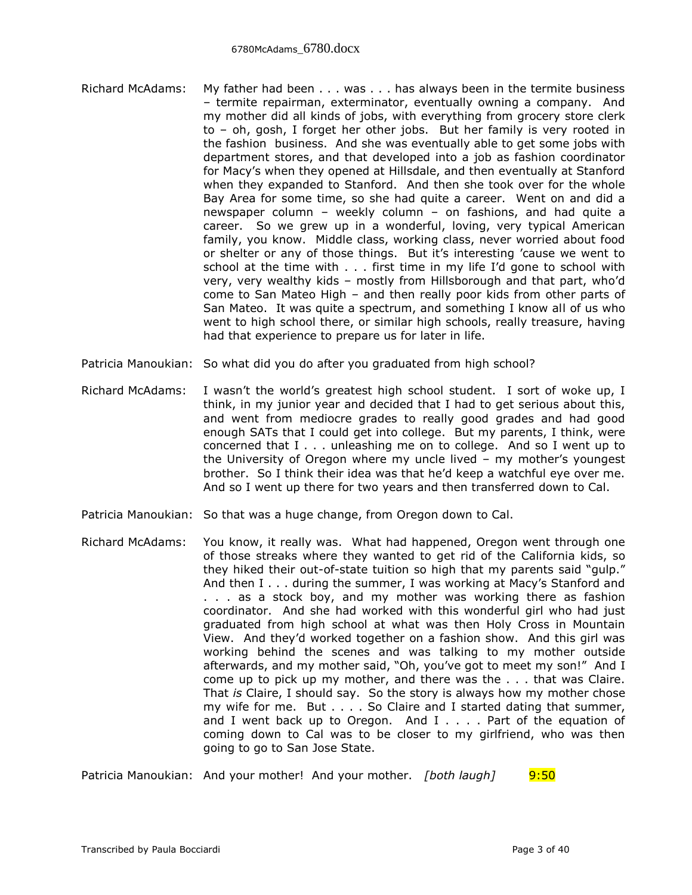- Richard McAdams: My father had been . . . was . . . has always been in the termite business – termite repairman, exterminator, eventually owning a company. And my mother did all kinds of jobs, with everything from grocery store clerk to – oh, gosh, I forget her other jobs. But her family is very rooted in the fashion business. And she was eventually able to get some jobs with department stores, and that developed into a job as fashion coordinator for Macy's when they opened at Hillsdale, and then eventually at Stanford when they expanded to Stanford. And then she took over for the whole Bay Area for some time, so she had quite a career. Went on and did a newspaper column – weekly column – on fashions, and had quite a career. So we grew up in a wonderful, loving, very typical American family, you know. Middle class, working class, never worried about food or shelter or any of those things. But it's interesting 'cause we went to school at the time with . . . first time in my life I'd gone to school with very, very wealthy kids – mostly from Hillsborough and that part, who'd come to San Mateo High – and then really poor kids from other parts of San Mateo. It was quite a spectrum, and something I know all of us who went to high school there, or similar high schools, really treasure, having had that experience to prepare us for later in life.
- Patricia Manoukian: So what did you do after you graduated from high school?
- Richard McAdams: I wasn't the world's greatest high school student. I sort of woke up, I think, in my junior year and decided that I had to get serious about this, and went from mediocre grades to really good grades and had good enough SATs that I could get into college. But my parents, I think, were concerned that I . . . unleashing me on to college. And so I went up to the University of Oregon where my uncle lived – my mother's youngest brother. So I think their idea was that he'd keep a watchful eye over me. And so I went up there for two years and then transferred down to Cal.
- Patricia Manoukian: So that was a huge change, from Oregon down to Cal.
- Richard McAdams: You know, it really was. What had happened, Oregon went through one of those streaks where they wanted to get rid of the California kids, so they hiked their out-of-state tuition so high that my parents said "gulp." And then I . . . during the summer, I was working at Macy's Stanford and . . . as a stock boy, and my mother was working there as fashion coordinator. And she had worked with this wonderful girl who had just graduated from high school at what was then Holy Cross in Mountain View. And they'd worked together on a fashion show. And this girl was working behind the scenes and was talking to my mother outside afterwards, and my mother said, "Oh, you've got to meet my son!" And I come up to pick up my mother, and there was the . . . that was Claire. That *is* Claire, I should say. So the story is always how my mother chose my wife for me. But . . . . So Claire and I started dating that summer, and I went back up to Oregon. And I . . . . Part of the equation of coming down to Cal was to be closer to my girlfriend, who was then going to go to San Jose State.

Patricia Manoukian: And your mother! And your mother. *[both laugh]* 9:50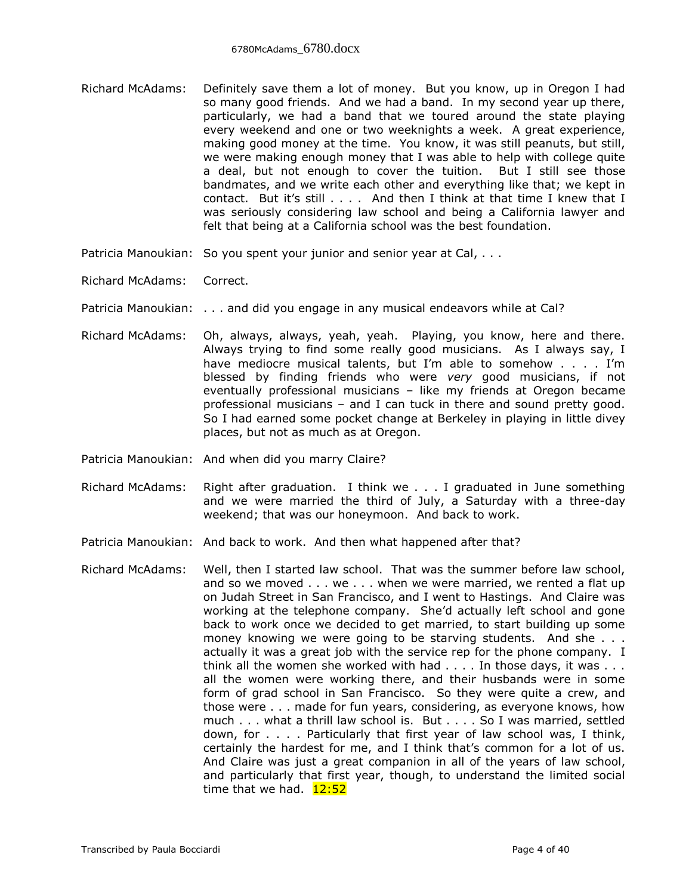- Richard McAdams: Definitely save them a lot of money. But you know, up in Oregon I had so many good friends. And we had a band. In my second year up there, particularly, we had a band that we toured around the state playing every weekend and one or two weeknights a week. A great experience, making good money at the time. You know, it was still peanuts, but still, we were making enough money that I was able to help with college quite a deal, but not enough to cover the tuition. But I still see those bandmates, and we write each other and everything like that; we kept in contact. But it's still . . . . And then I think at that time I knew that I was seriously considering law school and being a California lawyer and felt that being at a California school was the best foundation.
- Patricia Manoukian: So you spent your junior and senior year at Cal, ...
- Richard McAdams: Correct.
- Patricia Manoukian: . . . and did you engage in any musical endeavors while at Cal?
- Richard McAdams: Oh, always, always, yeah, yeah. Playing, you know, here and there. Always trying to find some really good musicians. As I always say, I have mediocre musical talents, but I'm able to somehow . . . . I'm blessed by finding friends who were *very* good musicians, if not eventually professional musicians – like my friends at Oregon became professional musicians – and I can tuck in there and sound pretty good. So I had earned some pocket change at Berkeley in playing in little divey places, but not as much as at Oregon.
- Patricia Manoukian: And when did you marry Claire?
- Richard McAdams: Right after graduation. I think we . . . I graduated in June something and we were married the third of July, a Saturday with a three-day weekend; that was our honeymoon. And back to work.
- Patricia Manoukian: And back to work. And then what happened after that?
- Richard McAdams: Well, then I started law school. That was the summer before law school, and so we moved . . . we . . . when we were married, we rented a flat up on Judah Street in San Francisco, and I went to Hastings. And Claire was working at the telephone company. She'd actually left school and gone back to work once we decided to get married, to start building up some money knowing we were going to be starving students. And she . . . actually it was a great job with the service rep for the phone company. I think all the women she worked with had  $\dots$ . In those days, it was  $\dots$ all the women were working there, and their husbands were in some form of grad school in San Francisco. So they were quite a crew, and those were . . . made for fun years, considering, as everyone knows, how much . . . what a thrill law school is. But . . . . So I was married, settled down, for . . . . Particularly that first year of law school was, I think, certainly the hardest for me, and I think that's common for a lot of us. And Claire was just a great companion in all of the years of law school, and particularly that first year, though, to understand the limited social time that we had.  $12:52$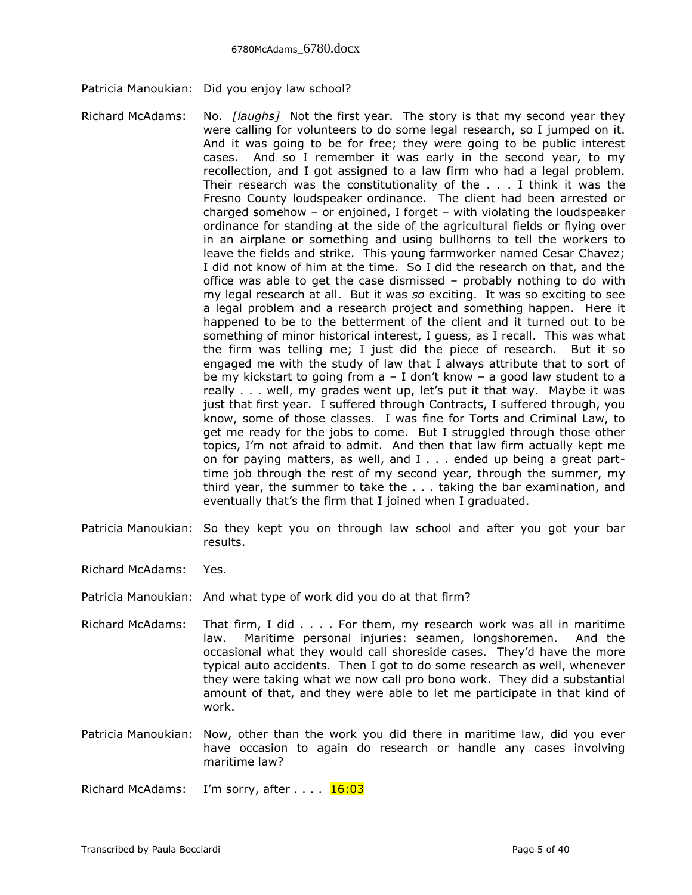- Patricia Manoukian: Did you enjoy law school?
- Richard McAdams: No. *[laughs]* Not the first year. The story is that my second year they were calling for volunteers to do some legal research, so I jumped on it. And it was going to be for free; they were going to be public interest cases. And so I remember it was early in the second year, to my recollection, and I got assigned to a law firm who had a legal problem. Their research was the constitutionality of the . . . I think it was the Fresno County loudspeaker ordinance. The client had been arrested or charged somehow – or enjoined, I forget – with violating the loudspeaker ordinance for standing at the side of the agricultural fields or flying over in an airplane or something and using bullhorns to tell the workers to leave the fields and strike. This young farmworker named Cesar Chavez; I did not know of him at the time. So I did the research on that, and the office was able to get the case dismissed – probably nothing to do with my legal research at all. But it was *so* exciting. It was so exciting to see a legal problem and a research project and something happen. Here it happened to be to the betterment of the client and it turned out to be something of minor historical interest, I guess, as I recall. This was what the firm was telling me; I just did the piece of research. But it so engaged me with the study of law that I always attribute that to sort of be my kickstart to going from a – I don't know – a good law student to a really . . . well, my grades went up, let's put it that way. Maybe it was just that first year. I suffered through Contracts, I suffered through, you know, some of those classes. I was fine for Torts and Criminal Law, to get me ready for the jobs to come. But I struggled through those other topics, I'm not afraid to admit. And then that law firm actually kept me on for paying matters, as well, and I . . . ended up being a great parttime job through the rest of my second year, through the summer, my third year, the summer to take the . . . taking the bar examination, and eventually that's the firm that I joined when I graduated.
- Patricia Manoukian: So they kept you on through law school and after you got your bar results.
- Richard McAdams: Yes.
- Patricia Manoukian: And what type of work did you do at that firm?
- Richard McAdams: That firm, I did . . . . For them, my research work was all in maritime law. Maritime personal injuries: seamen, longshoremen. And the occasional what they would call shoreside cases. They'd have the more typical auto accidents. Then I got to do some research as well, whenever they were taking what we now call pro bono work. They did a substantial amount of that, and they were able to let me participate in that kind of work.
- Patricia Manoukian: Now, other than the work you did there in maritime law, did you ever have occasion to again do research or handle any cases involving maritime law?

Richard McAdams: I'm sorry, after . . . . 16:03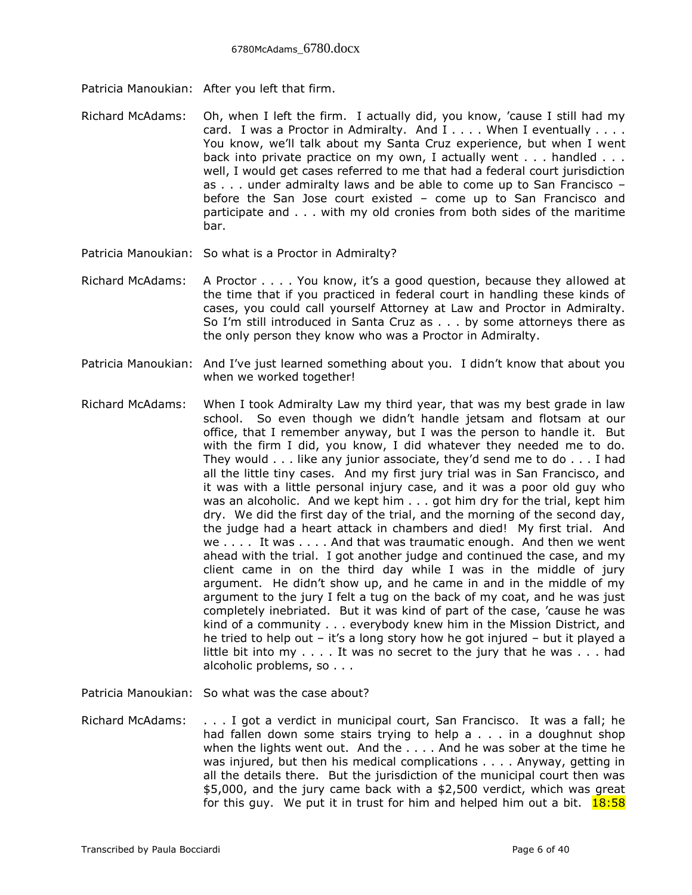Patricia Manoukian: After you left that firm.

- Richard McAdams: Oh, when I left the firm. I actually did, you know, 'cause I still had my card. I was a Proctor in Admiralty. And I . . . . When I eventually . . . . You know, we'll talk about my Santa Cruz experience, but when I went back into private practice on my own, I actually went . . . handled . . . well, I would get cases referred to me that had a federal court jurisdiction as . . . under admiralty laws and be able to come up to San Francisco – before the San Jose court existed – come up to San Francisco and participate and . . . with my old cronies from both sides of the maritime bar.
- Patricia Manoukian: So what is a Proctor in Admiralty?
- Richard McAdams: A Proctor . . . . You know, it's a good question, because they allowed at the time that if you practiced in federal court in handling these kinds of cases, you could call yourself Attorney at Law and Proctor in Admiralty. So I'm still introduced in Santa Cruz as . . . by some attorneys there as the only person they know who was a Proctor in Admiralty.
- Patricia Manoukian: And I've just learned something about you. I didn't know that about you when we worked together!
- Richard McAdams: When I took Admiralty Law my third year, that was my best grade in law school. So even though we didn't handle jetsam and flotsam at our office, that I remember anyway, but I was the person to handle it. But with the firm I did, you know, I did whatever they needed me to do. They would . . . like any junior associate, they'd send me to do . . . I had all the little tiny cases. And my first jury trial was in San Francisco, and it was with a little personal injury case, and it was a poor old guy who was an alcoholic. And we kept him . . . got him dry for the trial, kept him dry. We did the first day of the trial, and the morning of the second day, the judge had a heart attack in chambers and died! My first trial. And we . . . . It was . . . . And that was traumatic enough. And then we went ahead with the trial. I got another judge and continued the case, and my client came in on the third day while I was in the middle of jury argument. He didn't show up, and he came in and in the middle of my argument to the jury I felt a tug on the back of my coat, and he was just completely inebriated. But it was kind of part of the case, 'cause he was kind of a community . . . everybody knew him in the Mission District, and he tried to help out – it's a long story how he got injured – but it played a little bit into my . . . . It was no secret to the jury that he was . . . had alcoholic problems, so . . .

Patricia Manoukian: So what was the case about?

Richard McAdams: . . . I got a verdict in municipal court, San Francisco. It was a fall; he had fallen down some stairs trying to help a . . . in a doughnut shop when the lights went out. And the . . . . And he was sober at the time he was injured, but then his medical complications . . . . Anyway, getting in all the details there. But the jurisdiction of the municipal court then was \$5,000, and the jury came back with a \$2,500 verdict, which was great for this guy. We put it in trust for him and helped him out a bit.  $18:58$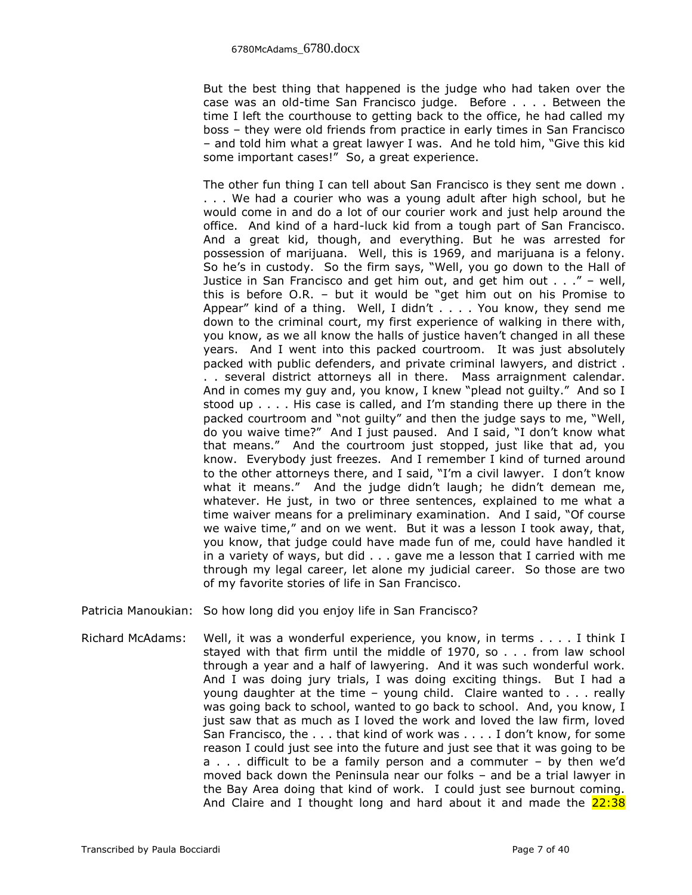But the best thing that happened is the judge who had taken over the case was an old-time San Francisco judge. Before . . . . Between the time I left the courthouse to getting back to the office, he had called my boss – they were old friends from practice in early times in San Francisco – and told him what a great lawyer I was. And he told him, "Give this kid some important cases!" So, a great experience.

The other fun thing I can tell about San Francisco is they sent me down . . . . We had a courier who was a young adult after high school, but he would come in and do a lot of our courier work and just help around the office. And kind of a hard-luck kid from a tough part of San Francisco. And a great kid, though, and everything. But he was arrested for possession of marijuana. Well, this is 1969, and marijuana is a felony. So he's in custody. So the firm says, "Well, you go down to the Hall of Justice in San Francisco and get him out, and get him out . . ." – well, this is before O.R. – but it would be "get him out on his Promise to Appear" kind of a thing. Well, I didn't . . . . You know, they send me down to the criminal court, my first experience of walking in there with, you know, as we all know the halls of justice haven't changed in all these years. And I went into this packed courtroom. It was just absolutely packed with public defenders, and private criminal lawyers, and district . . . several district attorneys all in there. Mass arraignment calendar. And in comes my guy and, you know, I knew "plead not guilty." And so I stood up . . . . His case is called, and I'm standing there up there in the packed courtroom and "not guilty" and then the judge says to me, "Well, do you waive time?" And I just paused. And I said, "I don't know what that means." And the courtroom just stopped, just like that ad, you know. Everybody just freezes. And I remember I kind of turned around to the other attorneys there, and I said, "I'm a civil lawyer. I don't know what it means." And the judge didn't laugh; he didn't demean me, whatever. He just, in two or three sentences, explained to me what a time waiver means for a preliminary examination. And I said, "Of course we waive time," and on we went. But it was a lesson I took away, that, you know, that judge could have made fun of me, could have handled it in a variety of ways, but did . . . gave me a lesson that I carried with me through my legal career, let alone my judicial career. So those are two of my favorite stories of life in San Francisco.

Patricia Manoukian: So how long did you enjoy life in San Francisco?

Richard McAdams: Well, it was a wonderful experience, you know, in terms . . . . I think I stayed with that firm until the middle of 1970, so . . . from law school through a year and a half of lawyering. And it was such wonderful work. And I was doing jury trials, I was doing exciting things. But I had a young daughter at the time – young child. Claire wanted to . . . really was going back to school, wanted to go back to school. And, you know, I just saw that as much as I loved the work and loved the law firm, loved San Francisco, the . . . that kind of work was . . . . I don't know, for some reason I could just see into the future and just see that it was going to be a . . . difficult to be a family person and a commuter – by then we'd moved back down the Peninsula near our folks – and be a trial lawyer in the Bay Area doing that kind of work. I could just see burnout coming. And Claire and I thought long and hard about it and made the  $22:38$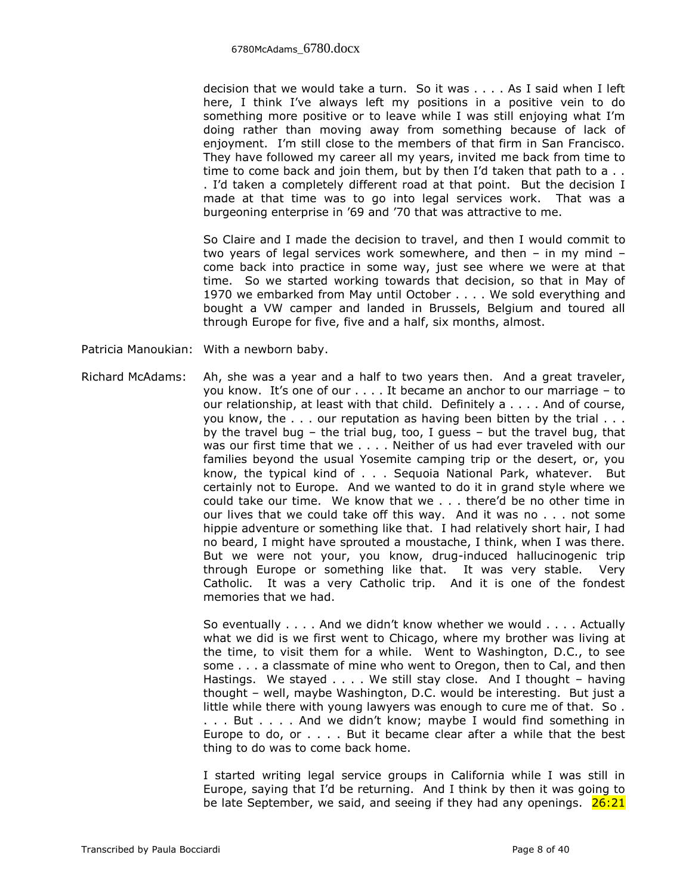decision that we would take a turn. So it was . . . . As I said when I left here, I think I've always left my positions in a positive vein to do something more positive or to leave while I was still enjoying what I'm doing rather than moving away from something because of lack of enjoyment. I'm still close to the members of that firm in San Francisco. They have followed my career all my years, invited me back from time to time to come back and join them, but by then I'd taken that path to a . . . I'd taken a completely different road at that point. But the decision I made at that time was to go into legal services work. That was a burgeoning enterprise in '69 and '70 that was attractive to me.

So Claire and I made the decision to travel, and then I would commit to two years of legal services work somewhere, and then – in my mind – come back into practice in some way, just see where we were at that time. So we started working towards that decision, so that in May of 1970 we embarked from May until October . . . . We sold everything and bought a VW camper and landed in Brussels, Belgium and toured all through Europe for five, five and a half, six months, almost.

Patricia Manoukian: With a newborn baby.

Richard McAdams: Ah, she was a year and a half to two years then. And a great traveler, you know. It's one of our . . . . It became an anchor to our marriage – to our relationship, at least with that child. Definitely a . . . . And of course, you know, the . . . our reputation as having been bitten by the trial . . . by the travel bug – the trial bug, too, I guess – but the travel bug, that was our first time that we . . . . Neither of us had ever traveled with our families beyond the usual Yosemite camping trip or the desert, or, you know, the typical kind of . . . Sequoia National Park, whatever. But certainly not to Europe. And we wanted to do it in grand style where we could take our time. We know that we . . . there'd be no other time in our lives that we could take off this way. And it was no . . . not some hippie adventure or something like that. I had relatively short hair, I had no beard, I might have sprouted a moustache, I think, when I was there. But we were not your, you know, drug-induced hallucinogenic trip through Europe or something like that. It was very stable. Very Catholic. It was a very Catholic trip. And it is one of the fondest memories that we had.

> So eventually . . . . And we didn't know whether we would . . . . Actually what we did is we first went to Chicago, where my brother was living at the time, to visit them for a while. Went to Washington, D.C., to see some . . . a classmate of mine who went to Oregon, then to Cal, and then Hastings. We stayed . . . . We still stay close. And I thought – having thought – well, maybe Washington, D.C. would be interesting. But just a little while there with young lawyers was enough to cure me of that. So . ... But .... And we didn't know; maybe I would find something in Europe to do, or . . . . But it became clear after a while that the best thing to do was to come back home.

> I started writing legal service groups in California while I was still in Europe, saying that I'd be returning. And I think by then it was going to be late September, we said, and seeing if they had any openings.  $26:21$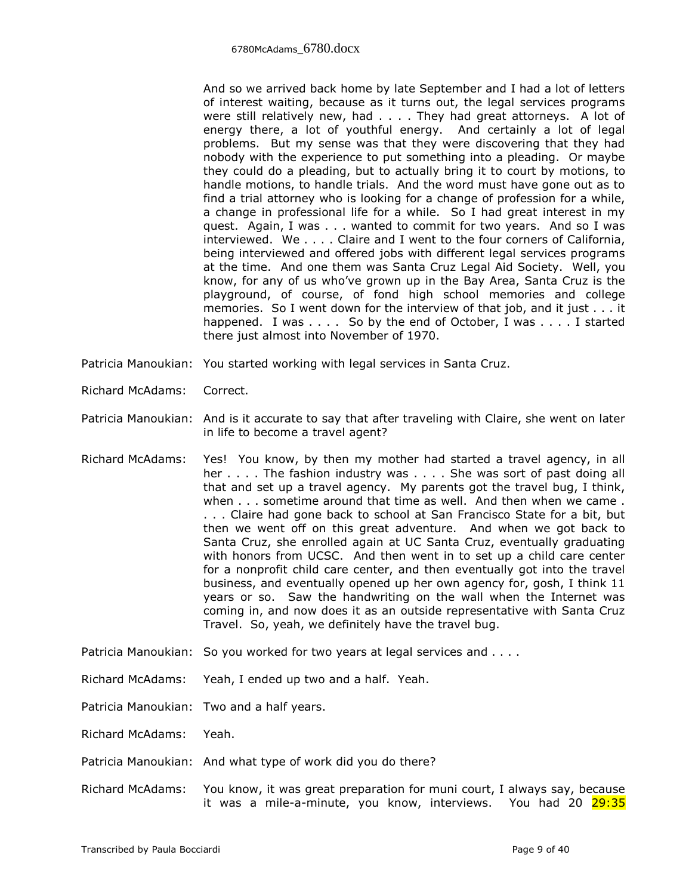And so we arrived back home by late September and I had a lot of letters of interest waiting, because as it turns out, the legal services programs were still relatively new, had . . . . They had great attorneys. A lot of energy there, a lot of youthful energy. And certainly a lot of legal problems. But my sense was that they were discovering that they had nobody with the experience to put something into a pleading. Or maybe they could do a pleading, but to actually bring it to court by motions, to handle motions, to handle trials. And the word must have gone out as to find a trial attorney who is looking for a change of profession for a while, a change in professional life for a while. So I had great interest in my quest. Again, I was . . . wanted to commit for two years. And so I was interviewed. We . . . . Claire and I went to the four corners of California, being interviewed and offered jobs with different legal services programs at the time. And one them was Santa Cruz Legal Aid Society. Well, you know, for any of us who've grown up in the Bay Area, Santa Cruz is the playground, of course, of fond high school memories and college memories. So I went down for the interview of that job, and it just . . . it happened. I was . . . . So by the end of October, I was . . . . I started there just almost into November of 1970.

- Patricia Manoukian: You started working with legal services in Santa Cruz.
- Richard McAdams: Correct.
- Patricia Manoukian: And is it accurate to say that after traveling with Claire, she went on later in life to become a travel agent?
- Richard McAdams: Yes! You know, by then my mother had started a travel agency, in all her . . . . The fashion industry was . . . . She was sort of past doing all that and set up a travel agency. My parents got the travel bug, I think, when . . . sometime around that time as well. And then when we came . . . . Claire had gone back to school at San Francisco State for a bit, but then we went off on this great adventure. And when we got back to Santa Cruz, she enrolled again at UC Santa Cruz, eventually graduating with honors from UCSC. And then went in to set up a child care center for a nonprofit child care center, and then eventually got into the travel business, and eventually opened up her own agency for, gosh, I think 11 years or so. Saw the handwriting on the wall when the Internet was coming in, and now does it as an outside representative with Santa Cruz Travel. So, yeah, we definitely have the travel bug.
- Patricia Manoukian: So you worked for two years at legal services and . . . .

Richard McAdams: Yeah, I ended up two and a half. Yeah.

Patricia Manoukian: Two and a half years.

Richard McAdams: Yeah.

Patricia Manoukian: And what type of work did you do there?

Richard McAdams: You know, it was great preparation for muni court, I always say, because it was a mile-a-minute, you know, interviews. You had 20 29:35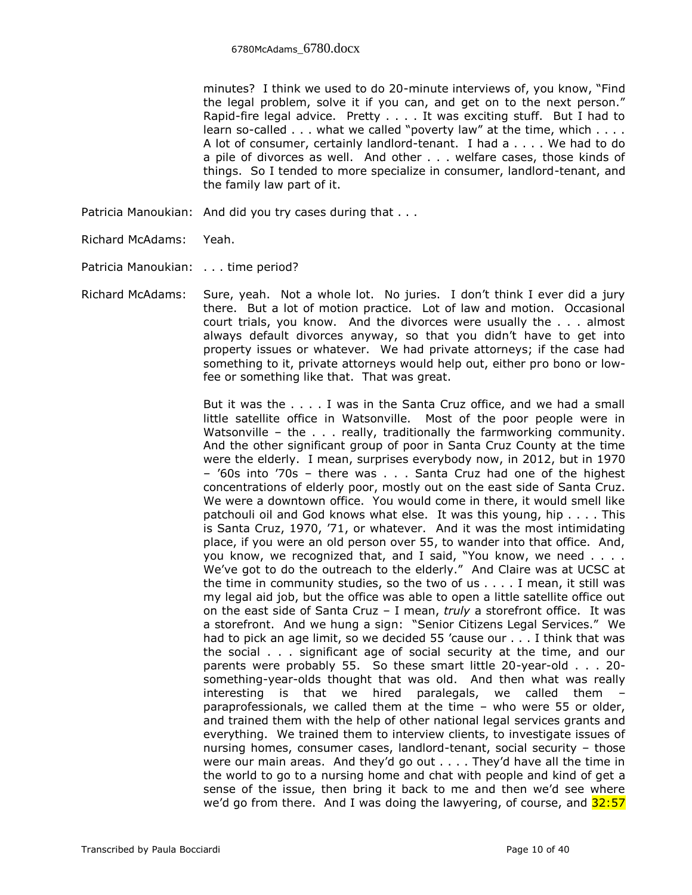minutes? I think we used to do 20-minute interviews of, you know, "Find the legal problem, solve it if you can, and get on to the next person." Rapid-fire legal advice. Pretty . . . . It was exciting stuff. But I had to learn so-called . . . what we called "poverty law" at the time, which . . . . A lot of consumer, certainly landlord-tenant. I had a . . . . We had to do a pile of divorces as well. And other . . . welfare cases, those kinds of things. So I tended to more specialize in consumer, landlord-tenant, and the family law part of it.

- Patricia Manoukian: And did you try cases during that . . .
- Richard McAdams: Yeah.
- Patricia Manoukian: . . . time period?
- Richard McAdams: Sure, yeah. Not a whole lot. No juries. I don't think I ever did a jury there. But a lot of motion practice. Lot of law and motion. Occasional court trials, you know. And the divorces were usually the . . . almost always default divorces anyway, so that you didn't have to get into property issues or whatever. We had private attorneys; if the case had something to it, private attorneys would help out, either pro bono or lowfee or something like that. That was great.

But it was the . . . . I was in the Santa Cruz office, and we had a small little satellite office in Watsonville. Most of the poor people were in Watsonville – the . . . really, traditionally the farmworking community. And the other significant group of poor in Santa Cruz County at the time were the elderly. I mean, surprises everybody now, in 2012, but in 1970 – '60s into '70s – there was . . . Santa Cruz had one of the highest concentrations of elderly poor, mostly out on the east side of Santa Cruz. We were a downtown office. You would come in there, it would smell like patchouli oil and God knows what else. It was this young, hip . . . . This is Santa Cruz, 1970, '71, or whatever. And it was the most intimidating place, if you were an old person over 55, to wander into that office. And, you know, we recognized that, and I said, "You know, we need . . . . We've got to do the outreach to the elderly." And Claire was at UCSC at the time in community studies, so the two of us . . . . I mean, it still was my legal aid job, but the office was able to open a little satellite office out on the east side of Santa Cruz – I mean, *truly* a storefront office. It was a storefront. And we hung a sign: "Senior Citizens Legal Services." We had to pick an age limit, so we decided 55 'cause our . . . I think that was the social . . . significant age of social security at the time, and our parents were probably 55. So these smart little 20-year-old . . . 20 something-year-olds thought that was old. And then what was really interesting is that we hired paralegals, we called them – paraprofessionals, we called them at the time – who were 55 or older, and trained them with the help of other national legal services grants and everything. We trained them to interview clients, to investigate issues of nursing homes, consumer cases, landlord-tenant, social security – those were our main areas. And they'd go out . . . . They'd have all the time in the world to go to a nursing home and chat with people and kind of get a sense of the issue, then bring it back to me and then we'd see where we'd go from there. And I was doing the lawyering, of course, and  $32:57$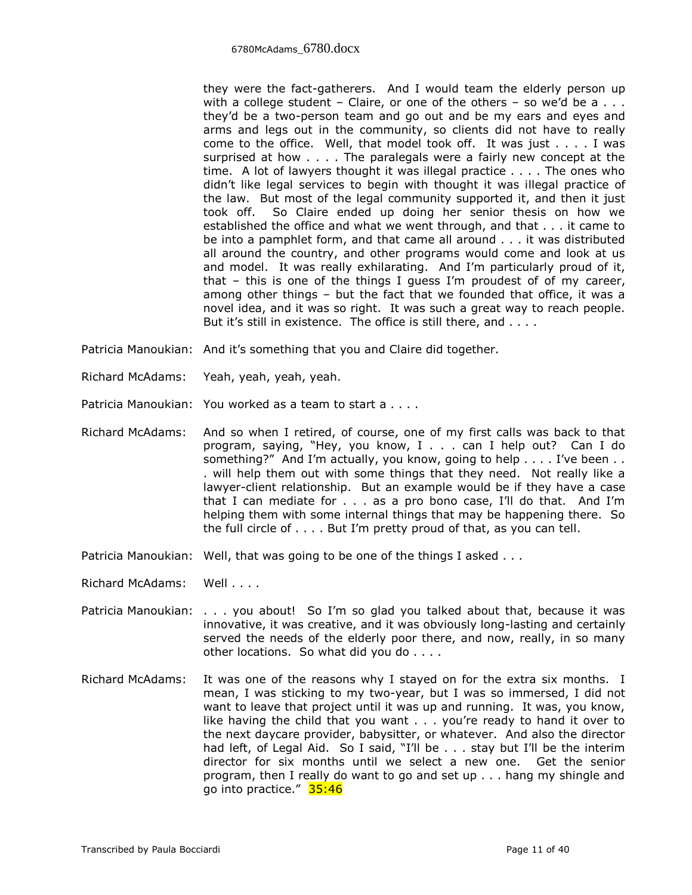they were the fact-gatherers. And I would team the elderly person up with a college student – Claire, or one of the others – so we'd be  $a \ldots$ they'd be a two-person team and go out and be my ears and eyes and arms and legs out in the community, so clients did not have to really come to the office. Well, that model took off. It was just . . . . I was surprised at how . . . . The paralegals were a fairly new concept at the time. A lot of lawyers thought it was illegal practice . . . . The ones who didn't like legal services to begin with thought it was illegal practice of the law. But most of the legal community supported it, and then it just took off. So Claire ended up doing her senior thesis on how we established the office and what we went through, and that . . . it came to be into a pamphlet form, and that came all around . . . it was distributed all around the country, and other programs would come and look at us and model. It was really exhilarating. And I'm particularly proud of it, that – this is one of the things I guess I'm proudest of of my career, among other things – but the fact that we founded that office, it was a novel idea, and it was so right. It was such a great way to reach people. But it's still in existence. The office is still there, and . . . .

- Patricia Manoukian: And it's something that you and Claire did together.
- Richard McAdams: Yeah, yeah, yeah, yeah.
- Patricia Manoukian: You worked as a team to start a . . . .
- Richard McAdams: And so when I retired, of course, one of my first calls was back to that program, saying, "Hey, you know, I . . . can I help out? Can I do something?" And I'm actually, you know, going to help . . . . I've been . . . will help them out with some things that they need. Not really like a lawyer-client relationship. But an example would be if they have a case that I can mediate for . . . as a pro bono case, I'll do that. And I'm helping them with some internal things that may be happening there. So the full circle of . . . . But I'm pretty proud of that, as you can tell.
- Patricia Manoukian: Well, that was going to be one of the things I asked . . .
- Richard McAdams: Well . . . .
- Patricia Manoukian: . . . you about! So I'm so glad you talked about that, because it was innovative, it was creative, and it was obviously long-lasting and certainly served the needs of the elderly poor there, and now, really, in so many other locations. So what did you do . . . .
- Richard McAdams: It was one of the reasons why I stayed on for the extra six months. I mean, I was sticking to my two-year, but I was so immersed, I did not want to leave that project until it was up and running. It was, you know, like having the child that you want . . . you're ready to hand it over to the next daycare provider, babysitter, or whatever. And also the director had left, of Legal Aid. So I said, "I'll be . . . stay but I'll be the interim director for six months until we select a new one. Get the senior program, then I really do want to go and set up . . . hang my shingle and go into practice." 35:46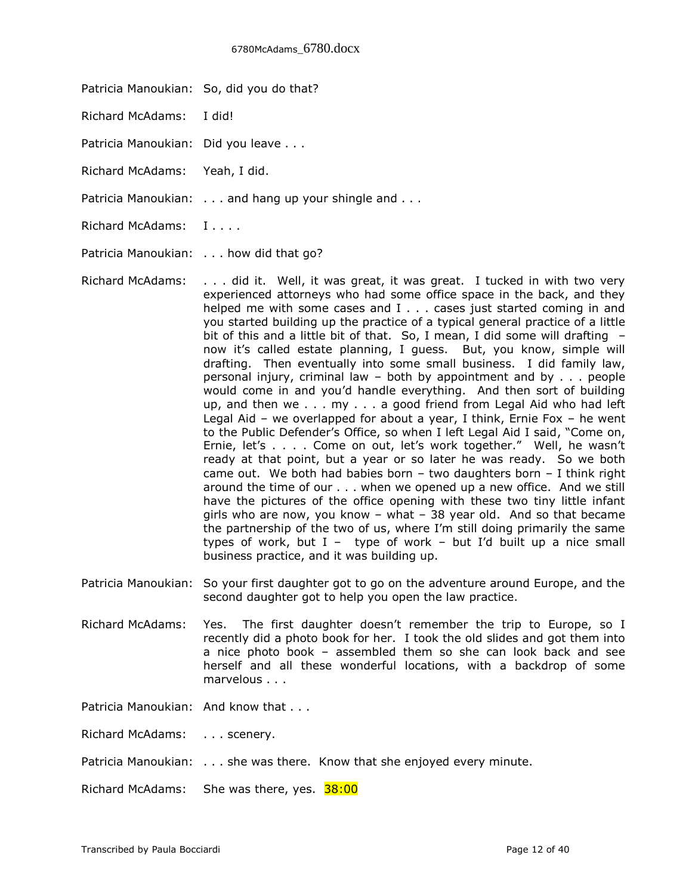- Patricia Manoukian: So, did you do that?
- Richard McAdams: I did!
- Patricia Manoukian: Did you leave . . .
- Richard McAdams: Yeah, I did.
- Patricia Manoukian: . . . and hang up your shingle and . . .
- Richard McAdams: I....

Patricia Manoukian: . . . how did that go?

- Richard McAdams: . . . did it. Well, it was great, it was great. I tucked in with two very experienced attorneys who had some office space in the back, and they helped me with some cases and I . . . cases just started coming in and you started building up the practice of a typical general practice of a little bit of this and a little bit of that. So, I mean, I did some will drafting – now it's called estate planning, I guess. But, you know, simple will drafting. Then eventually into some small business. I did family law, personal injury, criminal law – both by appointment and by . . . people would come in and you'd handle everything. And then sort of building up, and then we . . . my . . . a good friend from Legal Aid who had left Legal Aid – we overlapped for about a year, I think, Ernie Fox – he went to the Public Defender's Office, so when I left Legal Aid I said, "Come on, Ernie, let's . . . . Come on out, let's work together." Well, he wasn't ready at that point, but a year or so later he was ready. So we both came out. We both had babies born  $-$  two daughters born  $-$  I think right around the time of our . . . when we opened up a new office. And we still have the pictures of the office opening with these two tiny little infant girls who are now, you know – what – 38 year old. And so that became the partnership of the two of us, where I'm still doing primarily the same types of work, but  $I -$  type of work – but I'd built up a nice small business practice, and it was building up.
- Patricia Manoukian: So your first daughter got to go on the adventure around Europe, and the second daughter got to help you open the law practice.
- Richard McAdams: Yes. The first daughter doesn't remember the trip to Europe, so I recently did a photo book for her. I took the old slides and got them into a nice photo book – assembled them so she can look back and see herself and all these wonderful locations, with a backdrop of some marvelous . . .

Patricia Manoukian: And know that . . .

Richard McAdams: . . . scenery.

Patricia Manoukian: . . . she was there. Know that she enjoyed every minute.

Richard McAdams: She was there, yes. 38:00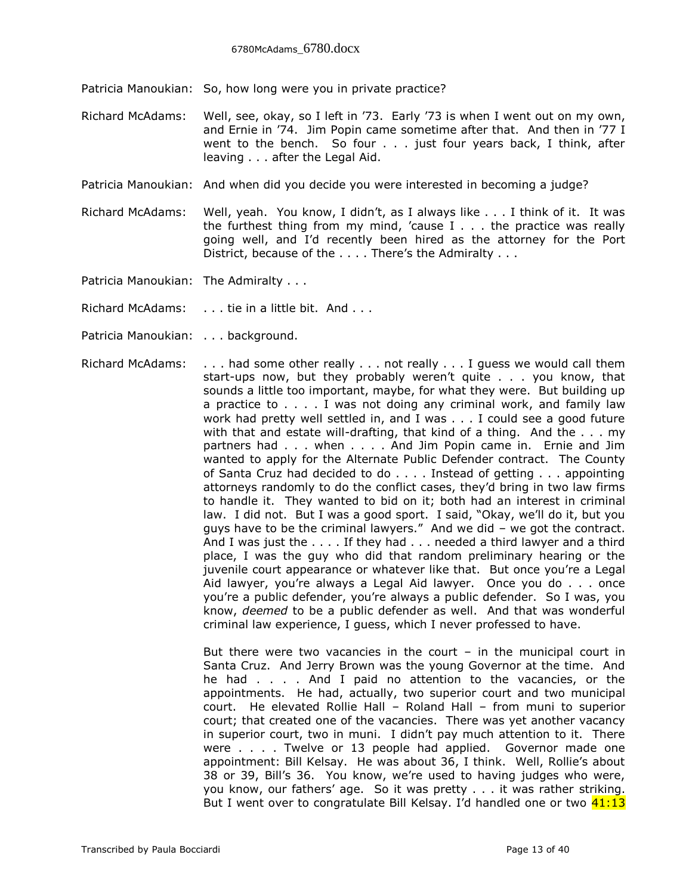Patricia Manoukian: So, how long were you in private practice?

- Richard McAdams: Well, see, okay, so I left in '73. Early '73 is when I went out on my own, and Ernie in '74. Jim Popin came sometime after that. And then in '77 I went to the bench. So four . . . just four years back, I think, after leaving . . . after the Legal Aid.
- Patricia Manoukian: And when did you decide you were interested in becoming a judge?
- Richard McAdams: Well, yeah. You know, I didn't, as I always like . . . I think of it. It was the furthest thing from my mind, 'cause I . . . the practice was really going well, and I'd recently been hired as the attorney for the Port District, because of the . . . . There's the Admiralty . . .

Patricia Manoukian: The Admiralty . . .

Richard McAdams: . . . tie in a little bit. And . . .

- Patricia Manoukian: . . . background.
- Richard McAdams: . . . had some other really . . . not really . . . I guess we would call them start-ups now, but they probably weren't quite . . . you know, that sounds a little too important, maybe, for what they were. But building up a practice to . . . . I was not doing any criminal work, and family law work had pretty well settled in, and I was . . . I could see a good future with that and estate will-drafting, that kind of a thing. And the . . . my partners had . . . when . . . . And Jim Popin came in. Ernie and Jim wanted to apply for the Alternate Public Defender contract. The County of Santa Cruz had decided to do . . . . Instead of getting . . . appointing attorneys randomly to do the conflict cases, they'd bring in two law firms to handle it. They wanted to bid on it; both had an interest in criminal law. I did not. But I was a good sport. I said, "Okay, we'll do it, but you guys have to be the criminal lawyers." And we did – we got the contract. And I was just the . . . . If they had . . . needed a third lawyer and a third place, I was the guy who did that random preliminary hearing or the juvenile court appearance or whatever like that. But once you're a Legal Aid lawyer, you're always a Legal Aid lawyer. Once you do . . . once you're a public defender, you're always a public defender. So I was, you know, *deemed* to be a public defender as well. And that was wonderful criminal law experience, I guess, which I never professed to have.

But there were two vacancies in the court  $-$  in the municipal court in Santa Cruz. And Jerry Brown was the young Governor at the time. And he had . . . . And I paid no attention to the vacancies, or the appointments. He had, actually, two superior court and two municipal court. He elevated Rollie Hall – Roland Hall – from muni to superior court; that created one of the vacancies. There was yet another vacancy in superior court, two in muni. I didn't pay much attention to it. There were . . . . Twelve or 13 people had applied. Governor made one appointment: Bill Kelsay. He was about 36, I think. Well, Rollie's about 38 or 39, Bill's 36. You know, we're used to having judges who were, you know, our fathers' age. So it was pretty . . . it was rather striking. But I went over to congratulate Bill Kelsay. I'd handled one or two  $41:13$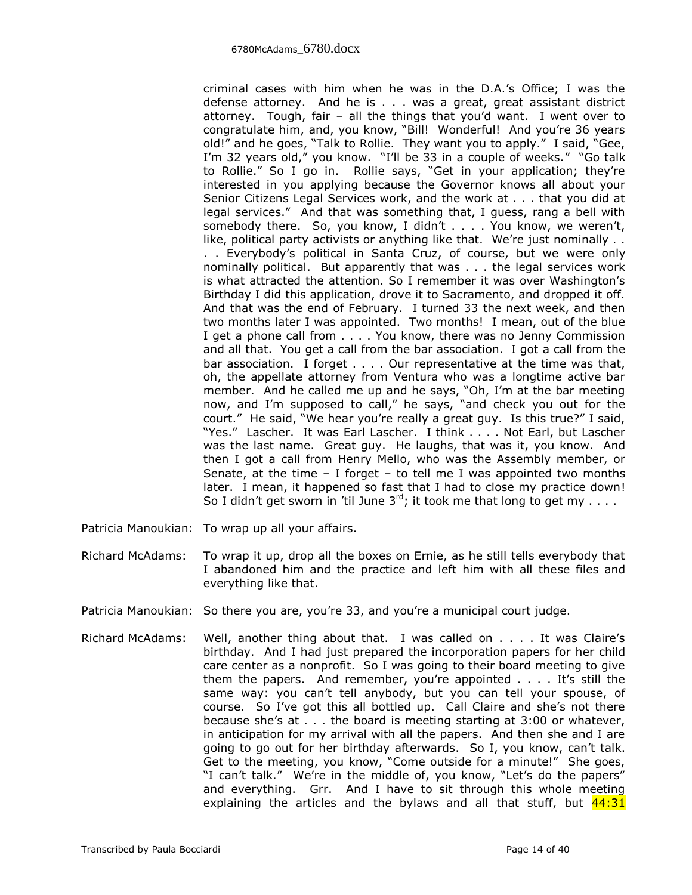criminal cases with him when he was in the D.A.'s Office; I was the defense attorney. And he is . . . was a great, great assistant district attorney. Tough, fair – all the things that you'd want. I went over to congratulate him, and, you know, "Bill! Wonderful! And you're 36 years old!" and he goes, "Talk to Rollie. They want you to apply." I said, "Gee, I'm 32 years old," you know. "I'll be 33 in a couple of weeks." "Go talk to Rollie." So I go in. Rollie says, "Get in your application; they're interested in you applying because the Governor knows all about your Senior Citizens Legal Services work, and the work at . . . that you did at legal services." And that was something that, I guess, rang a bell with somebody there. So, you know, I didn't . . . . You know, we weren't, like, political party activists or anything like that. We're just nominally . . . . Everybody's political in Santa Cruz, of course, but we were only nominally political. But apparently that was . . . the legal services work is what attracted the attention. So I remember it was over Washington's Birthday I did this application, drove it to Sacramento, and dropped it off. And that was the end of February. I turned 33 the next week, and then two months later I was appointed. Two months! I mean, out of the blue I get a phone call from . . . . You know, there was no Jenny Commission and all that. You get a call from the bar association. I got a call from the bar association. I forget . . . . Our representative at the time was that, oh, the appellate attorney from Ventura who was a longtime active bar member. And he called me up and he says, "Oh, I'm at the bar meeting now, and I'm supposed to call," he says, "and check you out for the court." He said, "We hear you're really a great guy. Is this true?" I said, "Yes." Lascher. It was Earl Lascher. I think . . . . Not Earl, but Lascher was the last name. Great guy. He laughs, that was it, you know. And then I got a call from Henry Mello, who was the Assembly member, or Senate, at the time  $-$  I forget  $-$  to tell me I was appointed two months later. I mean, it happened so fast that I had to close my practice down! So I didn't get sworn in 'til June  $3^{rd}$ ; it took me that long to get my . . . .

- Patricia Manoukian: To wrap up all your affairs.
- Richard McAdams: To wrap it up, drop all the boxes on Ernie, as he still tells everybody that I abandoned him and the practice and left him with all these files and everything like that.
- Patricia Manoukian: So there you are, you're 33, and you're a municipal court judge.
- Richard McAdams: Well, another thing about that. I was called on . . . . It was Claire's birthday. And I had just prepared the incorporation papers for her child care center as a nonprofit. So I was going to their board meeting to give them the papers. And remember, you're appointed  $\dots$ . It's still the same way: you can't tell anybody, but you can tell your spouse, of course. So I've got this all bottled up. Call Claire and she's not there because she's at . . . the board is meeting starting at 3:00 or whatever, in anticipation for my arrival with all the papers. And then she and I are going to go out for her birthday afterwards. So I, you know, can't talk. Get to the meeting, you know, "Come outside for a minute!" She goes, "I can't talk." We're in the middle of, you know, "Let's do the papers" and everything. Grr. And I have to sit through this whole meeting explaining the articles and the bylaws and all that stuff, but  $44:31$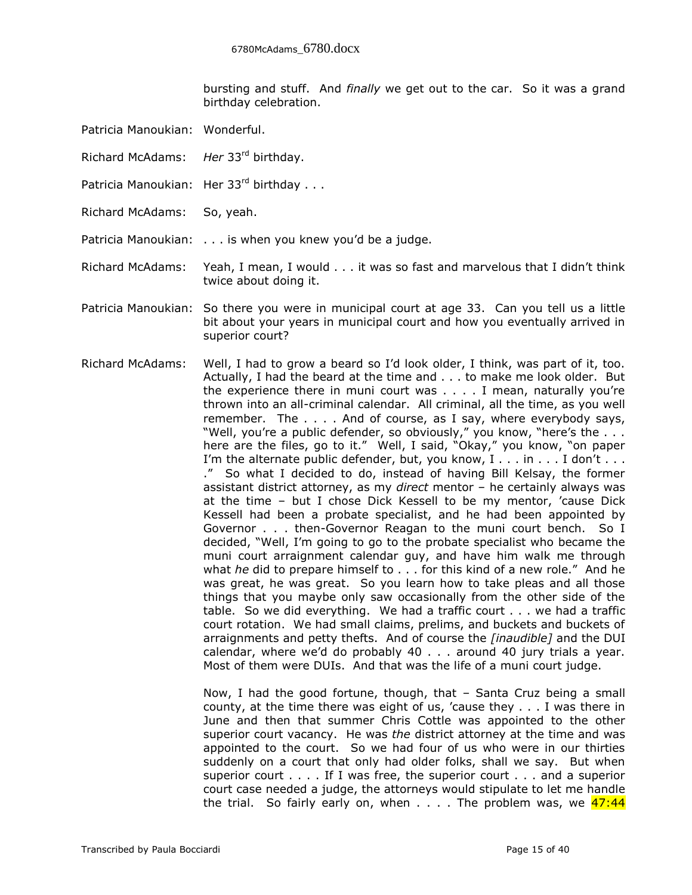bursting and stuff. And *finally* we get out to the car. So it was a grand birthday celebration.

- Patricia Manoukian: Wonderful.
- Richard McAdams: *Her* 33rd birthday.
- Patricia Manoukian: Her 33rd birthday . . .
- Richard McAdams: So, yeah.

Patricia Manoukian: . . . is when you knew you'd be a judge.

Richard McAdams: Yeah, I mean, I would . . . it was so fast and marvelous that I didn't think twice about doing it.

- Patricia Manoukian: So there you were in municipal court at age 33. Can you tell us a little bit about your years in municipal court and how you eventually arrived in superior court?
- Richard McAdams: Well, I had to grow a beard so I'd look older, I think, was part of it, too. Actually, I had the beard at the time and . . . to make me look older. But the experience there in muni court was . . . . I mean, naturally you're thrown into an all-criminal calendar. All criminal, all the time, as you well remember. The . . . . And of course, as I say, where everybody says, "Well, you're a public defender, so obviously," you know, "here's the ... here are the files, go to it." Well, I said, "Okay," you know, "on paper I'm the alternate public defender, but, you know, I . . . in . . . I don't . . . ." So what I decided to do, instead of having Bill Kelsay, the former assistant district attorney, as my *direct* mentor – he certainly always was at the time – but I chose Dick Kessell to be my mentor, 'cause Dick Kessell had been a probate specialist, and he had been appointed by Governor . . . then-Governor Reagan to the muni court bench. So I decided, "Well, I'm going to go to the probate specialist who became the muni court arraignment calendar guy, and have him walk me through what *he* did to prepare himself to . . . for this kind of a new role." And he was great, he was great. So you learn how to take pleas and all those things that you maybe only saw occasionally from the other side of the table. So we did everything. We had a traffic court . . . we had a traffic court rotation. We had small claims, prelims, and buckets and buckets of arraignments and petty thefts. And of course the *[inaudible]* and the DUI calendar, where we'd do probably 40 . . . around 40 jury trials a year. Most of them were DUIs. And that was the life of a muni court judge.

Now, I had the good fortune, though, that – Santa Cruz being a small county, at the time there was eight of us, 'cause they . . . I was there in June and then that summer Chris Cottle was appointed to the other superior court vacancy. He was *the* district attorney at the time and was appointed to the court. So we had four of us who were in our thirties suddenly on a court that only had older folks, shall we say. But when superior court . . . . If I was free, the superior court . . . and a superior court case needed a judge, the attorneys would stipulate to let me handle the trial. So fairly early on, when  $\dots$ . The problem was, we  $47:44$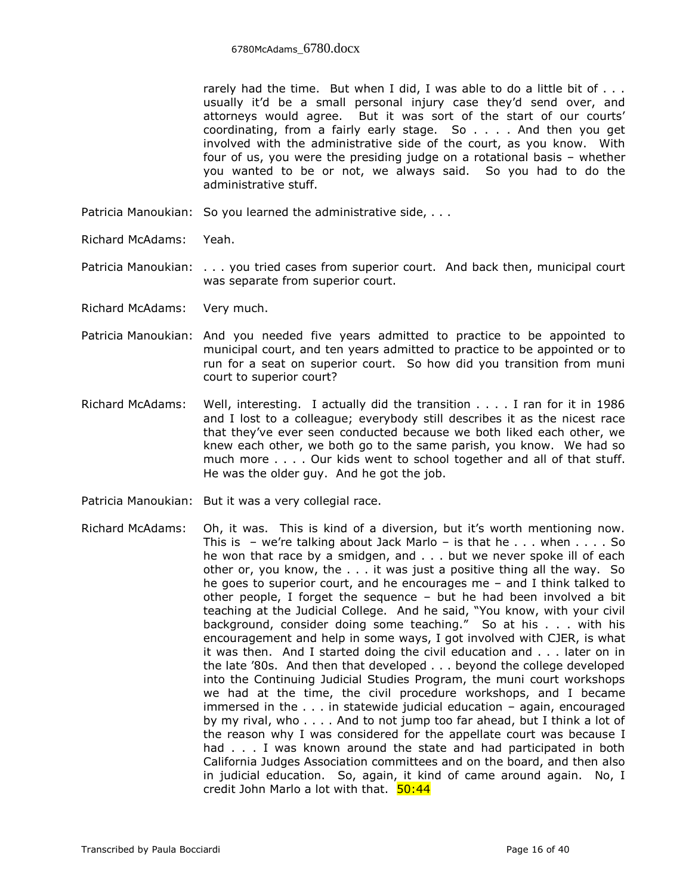rarely had the time. But when I did, I was able to do a little bit of . . . usually it'd be a small personal injury case they'd send over, and attorneys would agree. But it was sort of the start of our courts' coordinating, from a fairly early stage. So . . . . And then you get involved with the administrative side of the court, as you know. With four of us, you were the presiding judge on a rotational basis – whether you wanted to be or not, we always said. So you had to do the administrative stuff.

- Patricia Manoukian: So you learned the administrative side, . . .
- Richard McAdams: Yeah.
- Patricia Manoukian: . . . you tried cases from superior court. And back then, municipal court was separate from superior court.
- Richard McAdams: Very much.
- Patricia Manoukian: And you needed five years admitted to practice to be appointed to municipal court, and ten years admitted to practice to be appointed or to run for a seat on superior court. So how did you transition from muni court to superior court?
- Richard McAdams: Well, interesting. I actually did the transition . . . . I ran for it in 1986 and I lost to a colleague; everybody still describes it as the nicest race that they've ever seen conducted because we both liked each other, we knew each other, we both go to the same parish, you know. We had so much more . . . . Our kids went to school together and all of that stuff. He was the older guy. And he got the job.
- Patricia Manoukian: But it was a very collegial race.
- Richard McAdams: Oh, it was. This is kind of a diversion, but it's worth mentioning now. This is  $-$  we're talking about Jack Marlo  $-$  is that he . . . when . . . . So he won that race by a smidgen, and . . . but we never spoke ill of each other or, you know, the . . . it was just a positive thing all the way. So he goes to superior court, and he encourages me – and I think talked to other people, I forget the sequence – but he had been involved a bit teaching at the Judicial College. And he said, "You know, with your civil background, consider doing some teaching." So at his . . . with his encouragement and help in some ways, I got involved with CJER, is what it was then. And I started doing the civil education and . . . later on in the late '80s. And then that developed . . . beyond the college developed into the Continuing Judicial Studies Program, the muni court workshops we had at the time, the civil procedure workshops, and I became immersed in the . . . in statewide judicial education – again, encouraged by my rival, who . . . . And to not jump too far ahead, but I think a lot of the reason why I was considered for the appellate court was because I had . . . I was known around the state and had participated in both California Judges Association committees and on the board, and then also in judicial education. So, again, it kind of came around again. No, I credit John Marlo a lot with that. 50:44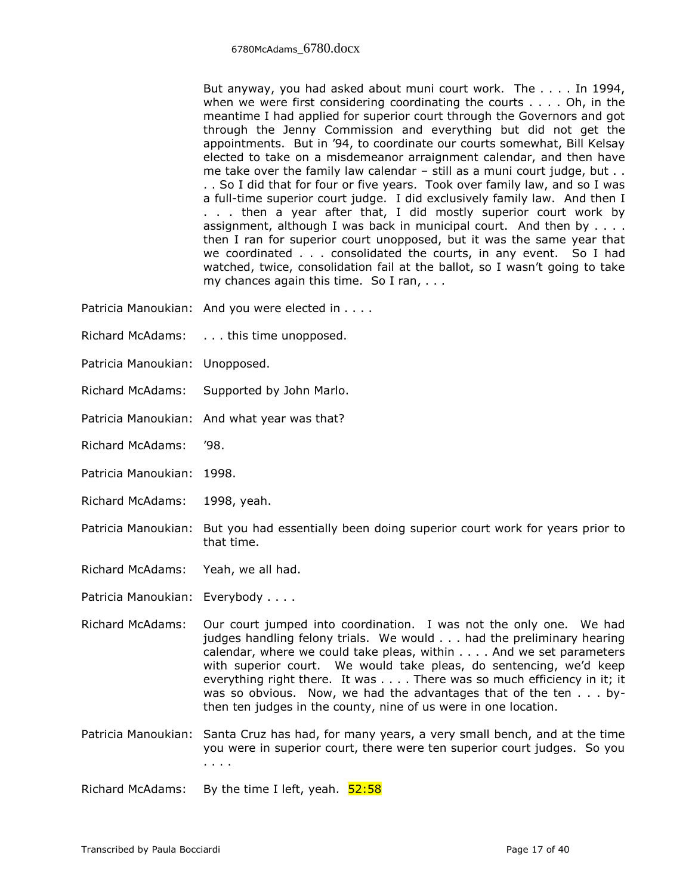But anyway, you had asked about muni court work. The . . . . In 1994, when we were first considering coordinating the courts  $\dots$ . Oh, in the meantime I had applied for superior court through the Governors and got through the Jenny Commission and everything but did not get the appointments. But in '94, to coordinate our courts somewhat, Bill Kelsay elected to take on a misdemeanor arraignment calendar, and then have me take over the family law calendar – still as a muni court judge, but . . . . So I did that for four or five years. Took over family law, and so I was a full-time superior court judge. I did exclusively family law. And then I . . . then a year after that, I did mostly superior court work by assignment, although I was back in municipal court. And then by . . . . then I ran for superior court unopposed, but it was the same year that we coordinated . . . consolidated the courts, in any event. So I had watched, twice, consolidation fail at the ballot, so I wasn't going to take my chances again this time. So I ran, . . .

- Patricia Manoukian: And you were elected in . . . .
- Richard McAdams: . . . this time unopposed.
- Patricia Manoukian: Unopposed.
- Richard McAdams: Supported by John Marlo.
- Patricia Manoukian: And what year was that?
- Richard McAdams: '98.
- Patricia Manoukian: 1998.
- Richard McAdams: 1998, yeah.
- Patricia Manoukian: But you had essentially been doing superior court work for years prior to that time.
- Richard McAdams: Yeah, we all had.
- Patricia Manoukian: Everybody . . . .
- Richard McAdams: Our court jumped into coordination. I was not the only one. We had judges handling felony trials. We would . . . had the preliminary hearing calendar, where we could take pleas, within . . . . And we set parameters with superior court. We would take pleas, do sentencing, we'd keep everything right there. It was . . . . There was so much efficiency in it; it was so obvious. Now, we had the advantages that of the ten . . . bythen ten judges in the county, nine of us were in one location.
- Patricia Manoukian: Santa Cruz has had, for many years, a very small bench, and at the time you were in superior court, there were ten superior court judges. So you . . . .

Richard McAdams: By the time I left, yeah.  $52:58$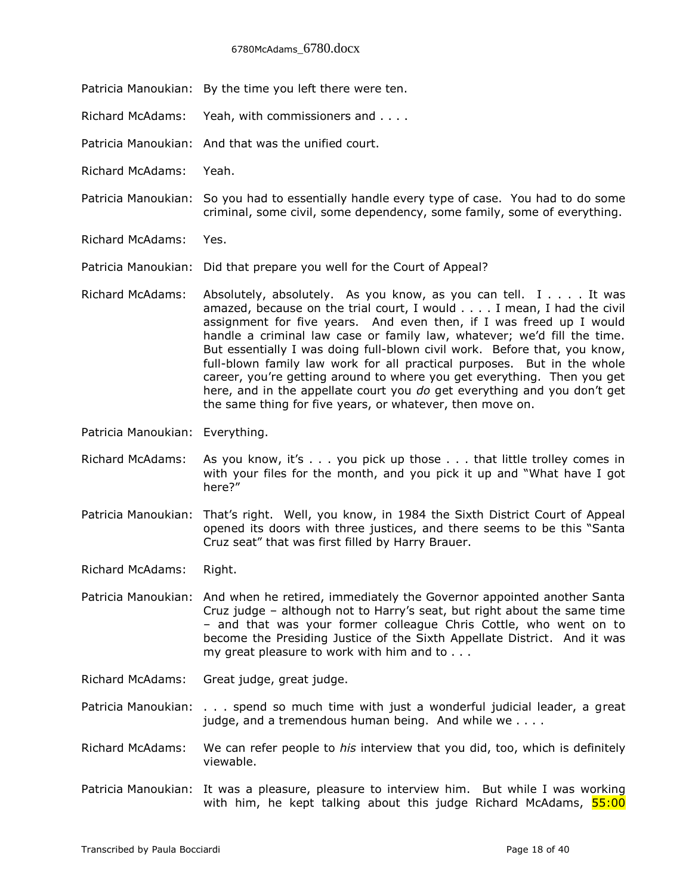## 6780McAdams\_6780.docx

- Patricia Manoukian: By the time you left there were ten.
- Richard McAdams: Yeah, with commissioners and . . . .
- Patricia Manoukian: And that was the unified court.
- Richard McAdams: Yeah.
- Patricia Manoukian: So you had to essentially handle every type of case. You had to do some criminal, some civil, some dependency, some family, some of everything.
- Richard McAdams: Yes.
- Patricia Manoukian: Did that prepare you well for the Court of Appeal?
- Richard McAdams: Absolutely, absolutely. As you know, as you can tell.  $I \ldots$ . It was amazed, because on the trial court, I would . . . . I mean, I had the civil assignment for five years. And even then, if I was freed up I would handle a criminal law case or family law, whatever; we'd fill the time. But essentially I was doing full-blown civil work. Before that, you know, full-blown family law work for all practical purposes. But in the whole career, you're getting around to where you get everything. Then you get here, and in the appellate court you *do* get everything and you don't get the same thing for five years, or whatever, then move on.
- Patricia Manoukian: Everything.
- Richard McAdams: As you know, it's . . . you pick up those . . . that little trolley comes in with your files for the month, and you pick it up and "What have I got here?"
- Patricia Manoukian: That's right. Well, you know, in 1984 the Sixth District Court of Appeal opened its doors with three justices, and there seems to be this "Santa Cruz seat" that was first filled by Harry Brauer.
- Richard McAdams: Right.

Patricia Manoukian: And when he retired, immediately the Governor appointed another Santa Cruz judge – although not to Harry's seat, but right about the same time – and that was your former colleague Chris Cottle, who went on to become the Presiding Justice of the Sixth Appellate District. And it was my great pleasure to work with him and to . . .

- Richard McAdams: Great judge, great judge.
- Patricia Manoukian: . . . spend so much time with just a wonderful judicial leader, a great judge, and a tremendous human being. And while we . . . .
- Richard McAdams: We can refer people to *his* interview that you did, too, which is definitely viewable.
- Patricia Manoukian: It was a pleasure, pleasure to interview him. But while I was working with him, he kept talking about this judge Richard McAdams,  $55:00$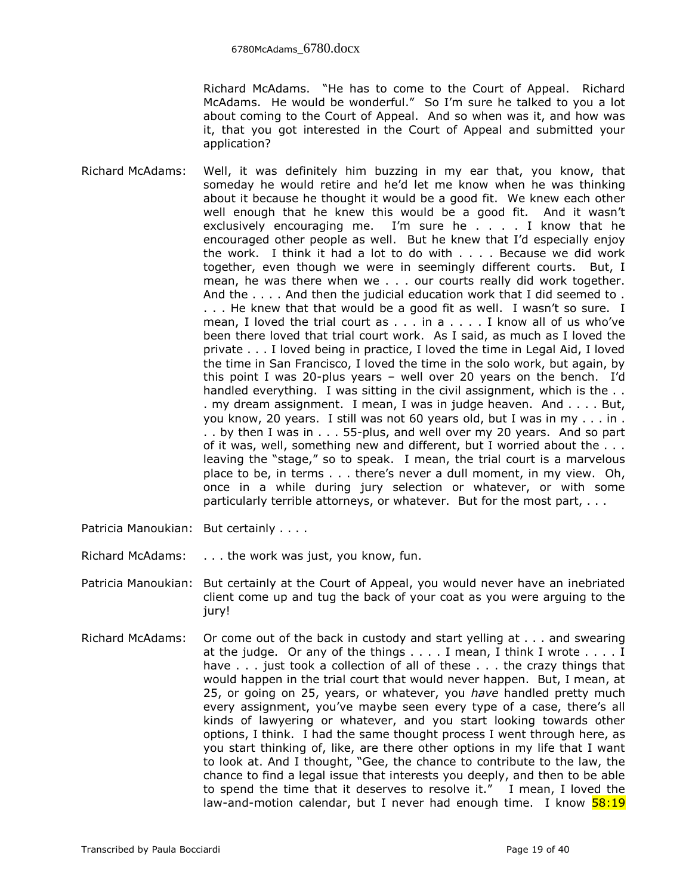Richard McAdams. "He has to come to the Court of Appeal. Richard McAdams. He would be wonderful." So I'm sure he talked to you a lot about coming to the Court of Appeal. And so when was it, and how was it, that you got interested in the Court of Appeal and submitted your application?

- Richard McAdams: Well, it was definitely him buzzing in my ear that, you know, that someday he would retire and he'd let me know when he was thinking about it because he thought it would be a good fit. We knew each other well enough that he knew this would be a good fit. And it wasn't exclusively encouraging me. I'm sure he  $\ldots$  . I know that he encouraged other people as well. But he knew that I'd especially enjoy the work. I think it had a lot to do with . . . . Because we did work together, even though we were in seemingly different courts. But, I mean, he was there when we . . . our courts really did work together. And the . . . . And then the judicial education work that I did seemed to . . . . He knew that that would be a good fit as well. I wasn't so sure. I mean, I loved the trial court as . . . in a . . . . I know all of us who've been there loved that trial court work. As I said, as much as I loved the private . . . I loved being in practice, I loved the time in Legal Aid, I loved the time in San Francisco, I loved the time in the solo work, but again, by this point I was 20-plus years – well over 20 years on the bench. I'd handled everything. I was sitting in the civil assignment, which is the . . . my dream assignment. I mean, I was in judge heaven. And . . . . But, you know, 20 years. I still was not 60 years old, but I was in my . . . in . . . by then I was in . . . 55-plus, and well over my 20 years. And so part of it was, well, something new and different, but I worried about the . . . leaving the "stage," so to speak. I mean, the trial court is a marvelous place to be, in terms . . . there's never a dull moment, in my view. Oh, once in a while during jury selection or whatever, or with some particularly terrible attorneys, or whatever. But for the most part, . . .
- Patricia Manoukian: But certainly . . . .
- Richard McAdams: . . . the work was just, you know, fun.
- Patricia Manoukian: But certainly at the Court of Appeal, you would never have an inebriated client come up and tug the back of your coat as you were arguing to the jury!
- Richard McAdams: Or come out of the back in custody and start yelling at . . . and swearing at the judge. Or any of the things . . . . I mean, I think I wrote . . . . I have . . . just took a collection of all of these . . . the crazy things that would happen in the trial court that would never happen. But, I mean, at 25, or going on 25, years, or whatever, you *have* handled pretty much every assignment, you've maybe seen every type of a case, there's all kinds of lawyering or whatever, and you start looking towards other options, I think. I had the same thought process I went through here, as you start thinking of, like, are there other options in my life that I want to look at. And I thought, "Gee, the chance to contribute to the law, the chance to find a legal issue that interests you deeply, and then to be able to spend the time that it deserves to resolve it." I mean, I loved the law-and-motion calendar, but I never had enough time. I know  $\frac{58:19}{2}$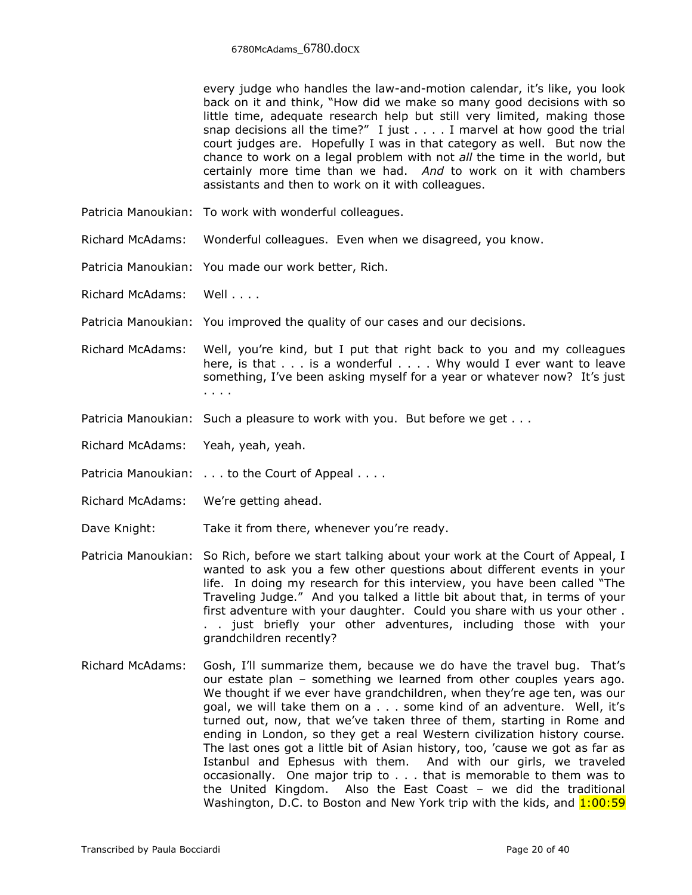every judge who handles the law-and-motion calendar, it's like, you look back on it and think, "How did we make so many good decisions with so little time, adequate research help but still very limited, making those snap decisions all the time?" I just . . . . I marvel at how good the trial court judges are. Hopefully I was in that category as well. But now the chance to work on a legal problem with not *all* the time in the world, but certainly more time than we had. *And* to work on it with chambers assistants and then to work on it with colleagues.

- Patricia Manoukian: To work with wonderful colleagues.
- Richard McAdams: Wonderful colleagues. Even when we disagreed, you know.
- Patricia Manoukian: You made our work better, Rich.
- Richard McAdams: Well . . . .
- Patricia Manoukian: You improved the quality of our cases and our decisions.
- Richard McAdams: Well, you're kind, but I put that right back to you and my colleagues here, is that . . . is a wonderful . . . . Why would I ever want to leave something, I've been asking myself for a year or whatever now? It's just . . . .
- Patricia Manoukian: Such a pleasure to work with you. But before we get . . .
- Richard McAdams: Yeah, yeah, yeah.
- Patricia Manoukian: . . . to the Court of Appeal . . . .
- Richard McAdams: We're getting ahead.
- Dave Knight: Take it from there, whenever you're ready.
- Patricia Manoukian: So Rich, before we start talking about your work at the Court of Appeal, I wanted to ask you a few other questions about different events in your life. In doing my research for this interview, you have been called "The Traveling Judge." And you talked a little bit about that, in terms of your first adventure with your daughter. Could you share with us your other . . . just briefly your other adventures, including those with your grandchildren recently?
- Richard McAdams: Gosh, I'll summarize them, because we do have the travel bug. That's our estate plan – something we learned from other couples years ago. We thought if we ever have grandchildren, when they're age ten, was our goal, we will take them on a . . . some kind of an adventure. Well, it's turned out, now, that we've taken three of them, starting in Rome and ending in London, so they get a real Western civilization history course. The last ones got a little bit of Asian history, too, 'cause we got as far as Istanbul and Ephesus with them. And with our girls, we traveled occasionally. One major trip to . . . that is memorable to them was to the United Kingdom. Also the East Coast – we did the traditional Washington, D.C. to Boston and New York trip with the kids, and  $1:00:59$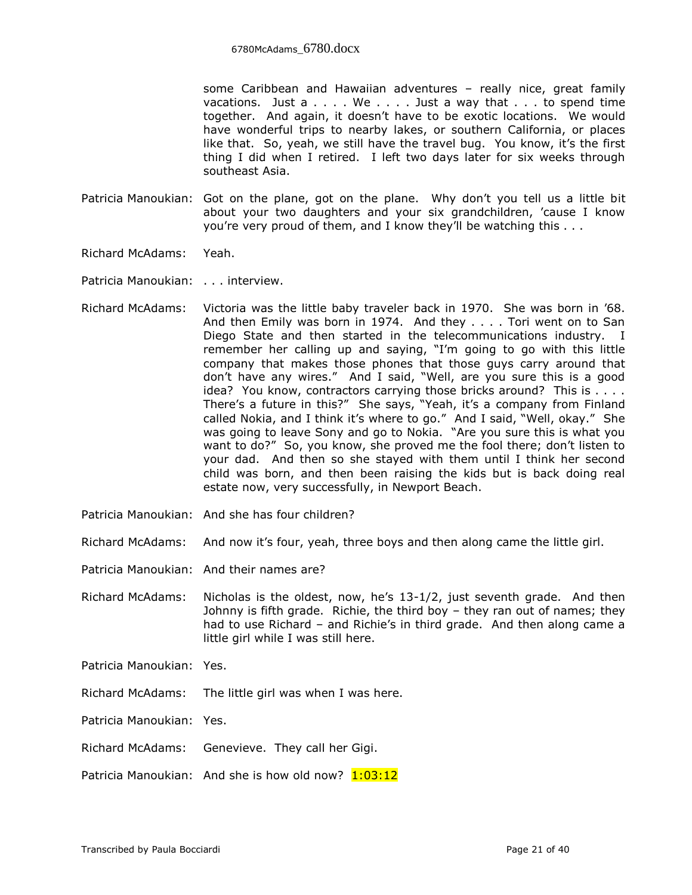some Caribbean and Hawaiian adventures – really nice, great family vacations. Just  $a \ldots$  We  $\dots$  . Just a way that  $\dots$  to spend time together. And again, it doesn't have to be exotic locations. We would have wonderful trips to nearby lakes, or southern California, or places like that. So, yeah, we still have the travel bug. You know, it's the first thing I did when I retired. I left two days later for six weeks through southeast Asia.

- Patricia Manoukian: Got on the plane, got on the plane. Why don't you tell us a little bit about your two daughters and your six grandchildren, 'cause I know you're very proud of them, and I know they'll be watching this . . .
- Richard McAdams: Yeah.
- Patricia Manoukian: . . . interview.
- Richard McAdams: Victoria was the little baby traveler back in 1970. She was born in '68. And then Emily was born in 1974. And they . . . . Tori went on to San Diego State and then started in the telecommunications industry. I remember her calling up and saying, "I'm going to go with this little company that makes those phones that those guys carry around that don't have any wires." And I said, "Well, are you sure this is a good idea? You know, contractors carrying those bricks around? This is . . . . There's a future in this?" She says, "Yeah, it's a company from Finland called Nokia, and I think it's where to go." And I said, "Well, okay." She was going to leave Sony and go to Nokia. "Are you sure this is what you want to do?" So, you know, she proved me the fool there; don't listen to your dad. And then so she stayed with them until I think her second child was born, and then been raising the kids but is back doing real estate now, very successfully, in Newport Beach.
- Patricia Manoukian: And she has four children?
- Richard McAdams: And now it's four, yeah, three boys and then along came the little girl.
- Patricia Manoukian: And their names are?
- Richard McAdams: Nicholas is the oldest, now, he's 13-1/2, just seventh grade. And then Johnny is fifth grade. Richie, the third boy – they ran out of names; they had to use Richard – and Richie's in third grade. And then along came a little girl while I was still here.
- Patricia Manoukian: Yes.
- Richard McAdams: The little girl was when I was here.
- Patricia Manoukian: Yes.
- Richard McAdams: Genevieve. They call her Gigi.
- Patricia Manoukian: And she is how old now?  $1:03:12$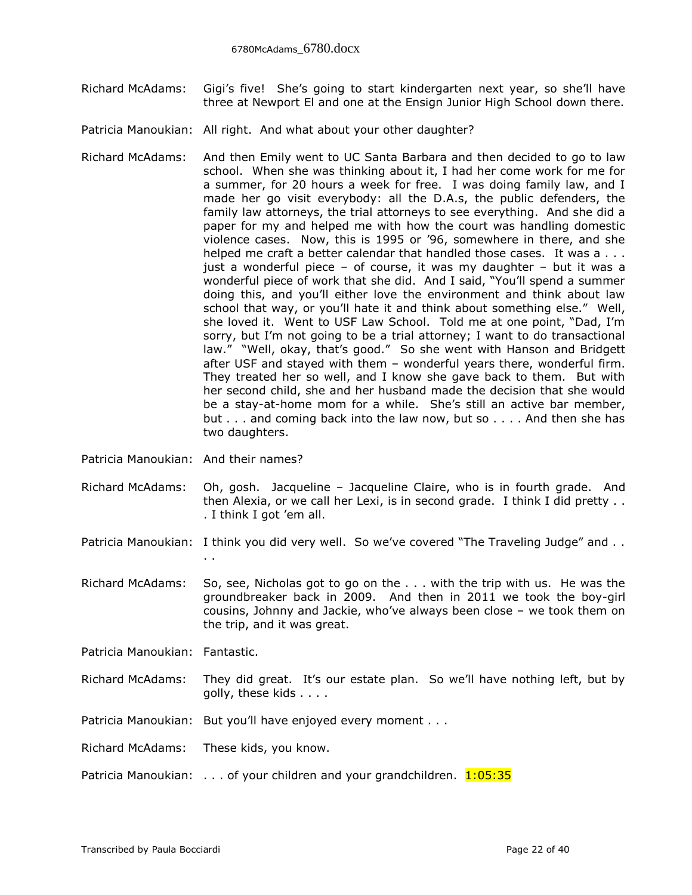- Richard McAdams: Gigi's five! She's going to start kindergarten next year, so she'll have three at Newport El and one at the Ensign Junior High School down there.
- Patricia Manoukian: All right. And what about your other daughter?
- Richard McAdams: And then Emily went to UC Santa Barbara and then decided to go to law school. When she was thinking about it, I had her come work for me for a summer, for 20 hours a week for free. I was doing family law, and I made her go visit everybody: all the D.A.s, the public defenders, the family law attorneys, the trial attorneys to see everything. And she did a paper for my and helped me with how the court was handling domestic violence cases. Now, this is 1995 or '96, somewhere in there, and she helped me craft a better calendar that handled those cases. It was a . . . just a wonderful piece – of course, it was my daughter – but it was a wonderful piece of work that she did. And I said, "You'll spend a summer doing this, and you'll either love the environment and think about law school that way, or you'll hate it and think about something else." Well, she loved it. Went to USF Law School. Told me at one point, "Dad, I'm sorry, but I'm not going to be a trial attorney; I want to do transactional law." "Well, okay, that's good." So she went with Hanson and Bridgett after USF and stayed with them – wonderful years there, wonderful firm. They treated her so well, and I know she gave back to them. But with her second child, she and her husband made the decision that she would be a stay-at-home mom for a while. She's still an active bar member, but . . . and coming back into the law now, but so . . . . And then she has two daughters.
- Patricia Manoukian: And their names?
- Richard McAdams: Oh, gosh. Jacqueline Jacqueline Claire, who is in fourth grade. And then Alexia, or we call her Lexi, is in second grade. I think I did pretty . . . I think I got 'em all.
- Patricia Manoukian: I think you did very well. So we've covered "The Traveling Judge" and .. . .
- Richard McAdams: So, see, Nicholas got to go on the . . . with the trip with us. He was the groundbreaker back in 2009. And then in 2011 we took the boy-girl cousins, Johnny and Jackie, who've always been close – we took them on the trip, and it was great.
- Patricia Manoukian: Fantastic.
- Richard McAdams: They did great. It's our estate plan. So we'll have nothing left, but by golly, these kids . . . .
- Patricia Manoukian: But you'll have enjoyed every moment . . .
- Richard McAdams: These kids, you know.
- Patricia Manoukian:  $\dots$  of your children and your grandchildren.  $1:05:35$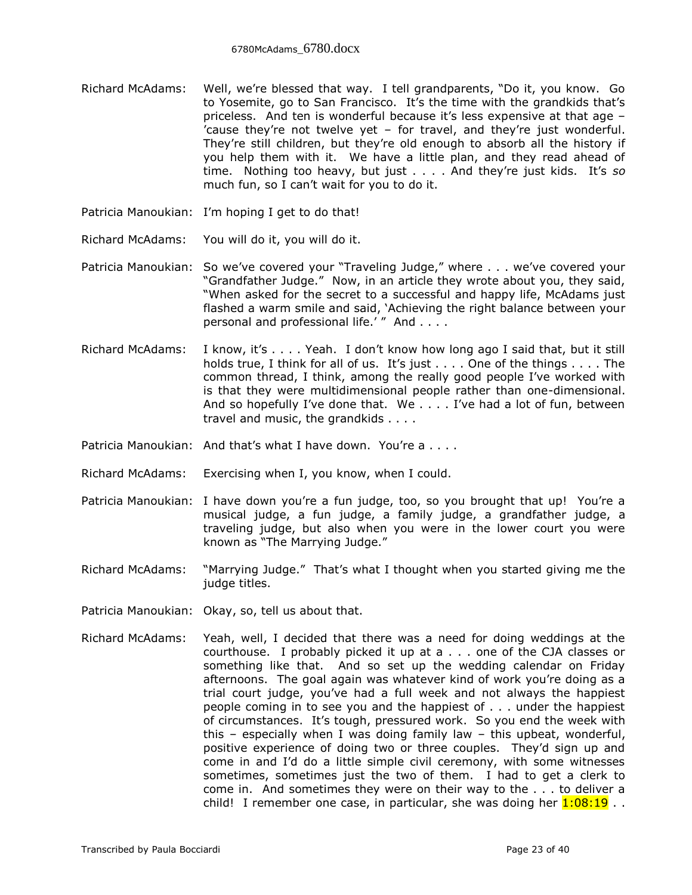- Richard McAdams: Well, we're blessed that way. I tell grandparents, "Do it, you know. Go to Yosemite, go to San Francisco. It's the time with the grandkids that's priceless. And ten is wonderful because it's less expensive at that age – 'cause they're not twelve yet – for travel, and they're just wonderful. They're still children, but they're old enough to absorb all the history if you help them with it. We have a little plan, and they read ahead of time. Nothing too heavy, but just . . . . And they're just kids. It's *so* much fun, so I can't wait for you to do it.
- Patricia Manoukian: I'm hoping I get to do that!
- Richard McAdams: You will do it, you will do it.
- Patricia Manoukian: So we've covered your "Traveling Judge," where . . . we've covered your "Grandfather Judge." Now, in an article they wrote about you, they said, "When asked for the secret to a successful and happy life, McAdams just flashed a warm smile and said, 'Achieving the right balance between your personal and professional life.'" And . . . .
- Richard McAdams: I know, it's . . . . Yeah. I don't know how long ago I said that, but it still holds true, I think for all of us. It's just . . . . One of the things . . . . The common thread, I think, among the really good people I've worked with is that they were multidimensional people rather than one-dimensional. And so hopefully I've done that. We . . . . I've had a lot of fun, between travel and music, the grandkids . . . .
- Patricia Manoukian: And that's what I have down. You're a . . . .
- Richard McAdams: Exercising when I, you know, when I could.
- Patricia Manoukian: I have down you're a fun judge, too, so you brought that up! You're a musical judge, a fun judge, a family judge, a grandfather judge, a traveling judge, but also when you were in the lower court you were known as "The Marrying Judge."
- Richard McAdams: "Marrying Judge." That's what I thought when you started giving me the judge titles.
- Patricia Manoukian: Okay, so, tell us about that.
- Richard McAdams: Yeah, well, I decided that there was a need for doing weddings at the courthouse. I probably picked it up at a . . . one of the CJA classes or something like that. And so set up the wedding calendar on Friday afternoons. The goal again was whatever kind of work you're doing as a trial court judge, you've had a full week and not always the happiest people coming in to see you and the happiest of . . . under the happiest of circumstances. It's tough, pressured work. So you end the week with this – especially when I was doing family law – this upbeat, wonderful, positive experience of doing two or three couples. They'd sign up and come in and I'd do a little simple civil ceremony, with some witnesses sometimes, sometimes just the two of them. I had to get a clerk to come in. And sometimes they were on their way to the . . . to deliver a child! I remember one case, in particular, she was doing her  $1:08:19...$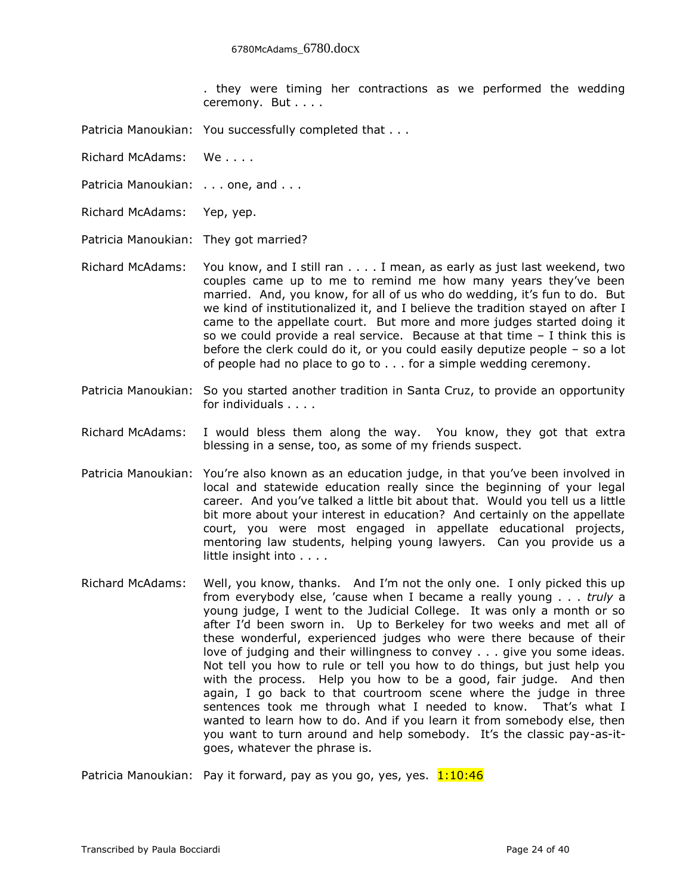. they were timing her contractions as we performed the wedding ceremony. But . . . .

- Patricia Manoukian: You successfully completed that . . .
- Richard McAdams: We . . . .
- Patricia Manoukian: . . . one, and . . .
- Richard McAdams: Yep, yep.

Patricia Manoukian: They got married?

- Richard McAdams: You know, and I still ran . . . . I mean, as early as just last weekend, two couples came up to me to remind me how many years they've been married. And, you know, for all of us who do wedding, it's fun to do. But we kind of institutionalized it, and I believe the tradition stayed on after I came to the appellate court. But more and more judges started doing it so we could provide a real service. Because at that time  $-1$  think this is before the clerk could do it, or you could easily deputize people – so a lot of people had no place to go to . . . for a simple wedding ceremony.
- Patricia Manoukian: So you started another tradition in Santa Cruz, to provide an opportunity for individuals . . . .
- Richard McAdams: I would bless them along the way. You know, they got that extra blessing in a sense, too, as some of my friends suspect.
- Patricia Manoukian: You're also known as an education judge, in that you've been involved in local and statewide education really since the beginning of your legal career. And you've talked a little bit about that. Would you tell us a little bit more about your interest in education? And certainly on the appellate court, you were most engaged in appellate educational projects, mentoring law students, helping young lawyers. Can you provide us a little insight into . . . .
- Richard McAdams: Well, you know, thanks. And I'm not the only one. I only picked this up from everybody else, 'cause when I became a really young . . . *truly* a young judge, I went to the Judicial College. It was only a month or so after I'd been sworn in. Up to Berkeley for two weeks and met all of these wonderful, experienced judges who were there because of their love of judging and their willingness to convey . . . give you some ideas. Not tell you how to rule or tell you how to do things, but just help you with the process. Help you how to be a good, fair judge. And then again, I go back to that courtroom scene where the judge in three sentences took me through what I needed to know. That's what I wanted to learn how to do. And if you learn it from somebody else, then you want to turn around and help somebody. It's the classic pay-as-itgoes, whatever the phrase is.

Patricia Manoukian: Pay it forward, pay as you go, yes, yes.  $1:10:46$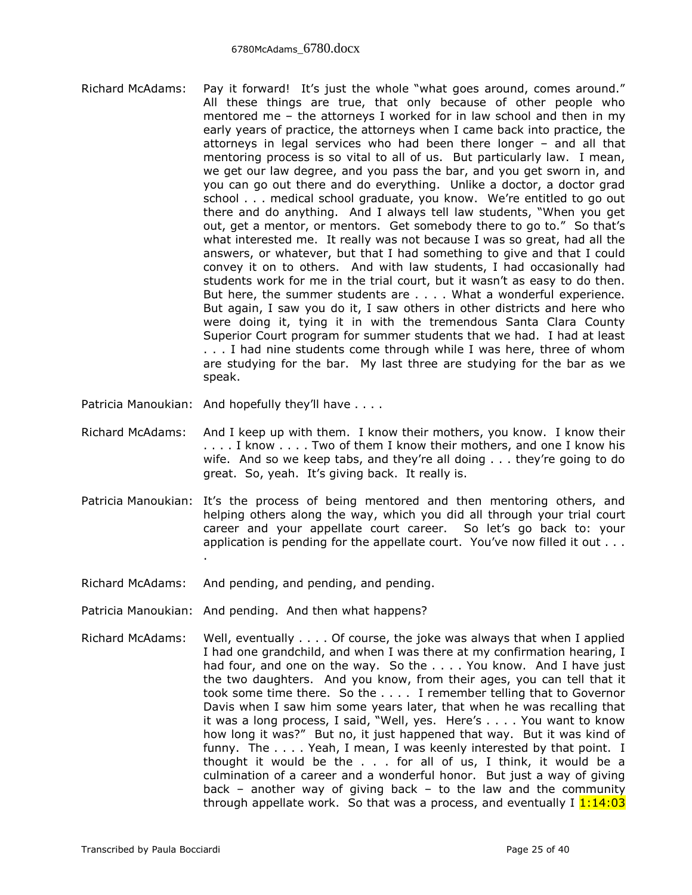- Richard McAdams: Pay it forward! It's just the whole "what goes around, comes around." All these things are true, that only because of other people who mentored me – the attorneys I worked for in law school and then in my early years of practice, the attorneys when I came back into practice, the attorneys in legal services who had been there longer – and all that mentoring process is so vital to all of us. But particularly law. I mean, we get our law degree, and you pass the bar, and you get sworn in, and you can go out there and do everything. Unlike a doctor, a doctor grad school . . . medical school graduate, you know. We're entitled to go out there and do anything. And I always tell law students, "When you get out, get a mentor, or mentors. Get somebody there to go to." So that's what interested me. It really was not because I was so great, had all the answers, or whatever, but that I had something to give and that I could convey it on to others. And with law students, I had occasionally had students work for me in the trial court, but it wasn't as easy to do then. But here, the summer students are . . . . What a wonderful experience. But again, I saw you do it, I saw others in other districts and here who were doing it, tying it in with the tremendous Santa Clara County Superior Court program for summer students that we had. I had at least . . . I had nine students come through while I was here, three of whom are studying for the bar. My last three are studying for the bar as we speak.
- Patricia Manoukian: And hopefully they'll have . . . .
- Richard McAdams: And I keep up with them. I know their mothers, you know. I know their . . . . I know . . . . Two of them I know their mothers, and one I know his wife. And so we keep tabs, and they're all doing . . . they're going to do great. So, yeah. It's giving back. It really is.
- Patricia Manoukian: It's the process of being mentored and then mentoring others, and helping others along the way, which you did all through your trial court career and your appellate court career. So let's go back to: your application is pending for the appellate court. You've now filled it out . . . .
- Richard McAdams: And pending, and pending, and pending.
- Patricia Manoukian: And pending. And then what happens?
- Richard McAdams: Well, eventually . . . . Of course, the joke was always that when I applied I had one grandchild, and when I was there at my confirmation hearing, I had four, and one on the way. So the . . . . You know. And I have just the two daughters. And you know, from their ages, you can tell that it took some time there. So the . . . . I remember telling that to Governor Davis when I saw him some years later, that when he was recalling that it was a long process, I said, "Well, yes. Here's . . . . You want to know how long it was?" But no, it just happened that way. But it was kind of funny. The . . . . Yeah, I mean, I was keenly interested by that point. I thought it would be the . . . for all of us, I think, it would be a culmination of a career and a wonderful honor. But just a way of giving back – another way of giving back – to the law and the community through appellate work. So that was a process, and eventually I  $1:14:03$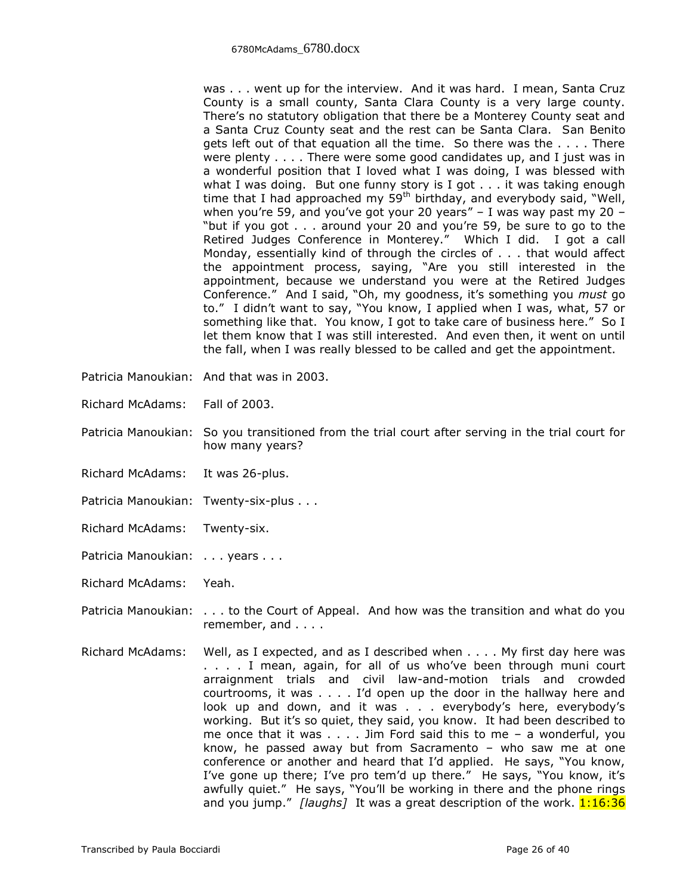was . . . went up for the interview. And it was hard. I mean, Santa Cruz County is a small county, Santa Clara County is a very large county. There's no statutory obligation that there be a Monterey County seat and a Santa Cruz County seat and the rest can be Santa Clara. San Benito gets left out of that equation all the time. So there was the . . . . There were plenty . . . . There were some good candidates up, and I just was in a wonderful position that I loved what I was doing, I was blessed with what I was doing. But one funny story is I got . . . it was taking enough time that I had approached my  $59<sup>th</sup>$  birthday, and everybody said, "Well, when you're 59, and you've got your 20 years"  $-$  I was way past my 20  $-$ "but if you got . . . around your 20 and you're 59, be sure to go to the Retired Judges Conference in Monterey." Which I did. I got a call Monday, essentially kind of through the circles of . . . that would affect the appointment process, saying, "Are you still interested in the appointment, because we understand you were at the Retired Judges Conference." And I said, "Oh, my goodness, it's something you *must* go to." I didn't want to say, "You know, I applied when I was, what, 57 or something like that. You know, I got to take care of business here." So I let them know that I was still interested. And even then, it went on until the fall, when I was really blessed to be called and get the appointment.

- Patricia Manoukian: And that was in 2003.
- Richard McAdams: Fall of 2003.
- Patricia Manoukian: So you transitioned from the trial court after serving in the trial court for how many years?
- Richard McAdams: It was 26-plus.
- Patricia Manoukian: Twenty-six-plus . . .
- Richard McAdams: Twenty-six.
- Patricia Manoukian: . . . years . . .
- Richard McAdams: Yeah.
- Patricia Manoukian: . . . to the Court of Appeal. And how was the transition and what do you remember, and . . . .
- Richard McAdams: Well, as I expected, and as I described when . . . . My first day here was . . . . I mean, again, for all of us who've been through muni court arraignment trials and civil law-and-motion trials and crowded courtrooms, it was . . . . I'd open up the door in the hallway here and look up and down, and it was . . . everybody's here, everybody's working. But it's so quiet, they said, you know. It had been described to me once that it was . . . . Jim Ford said this to me – a wonderful, you know, he passed away but from Sacramento – who saw me at one conference or another and heard that I'd applied. He says, "You know, I've gone up there; I've pro tem'd up there." He says, "You know, it's awfully quiet." He says, "You'll be working in there and the phone rings and you jump." *[laughs]* It was a great description of the work. **1:16:36**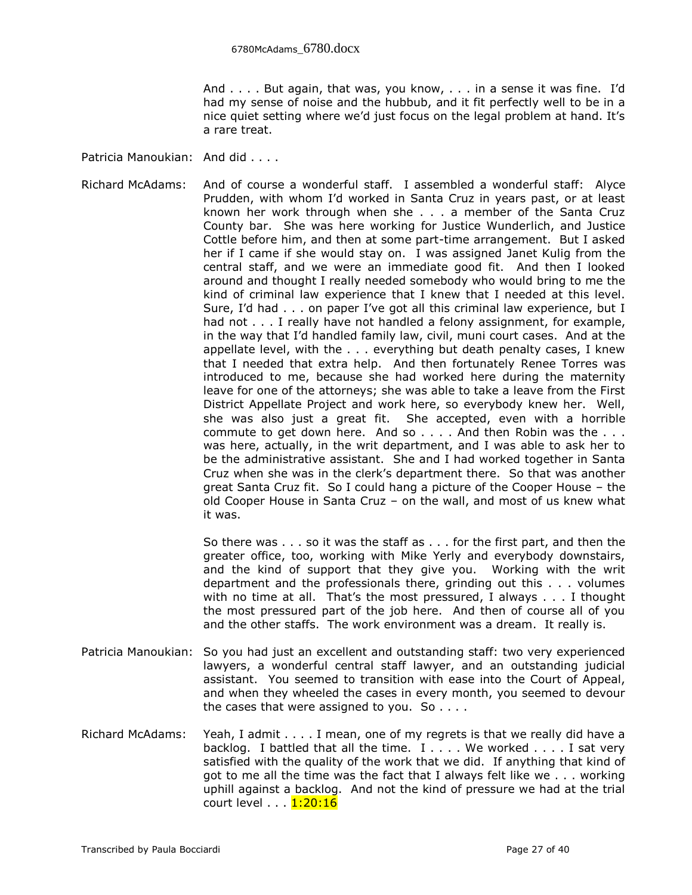And . . . . But again, that was, you know, . . . in a sense it was fine. I'd had my sense of noise and the hubbub, and it fit perfectly well to be in a nice quiet setting where we'd just focus on the legal problem at hand. It's a rare treat.

Patricia Manoukian: And did . . . .

Richard McAdams: And of course a wonderful staff. I assembled a wonderful staff: Alyce Prudden, with whom I'd worked in Santa Cruz in years past, or at least known her work through when she . . . a member of the Santa Cruz County bar. She was here working for Justice Wunderlich, and Justice Cottle before him, and then at some part-time arrangement. But I asked her if I came if she would stay on. I was assigned Janet Kulig from the central staff, and we were an immediate good fit. And then I looked around and thought I really needed somebody who would bring to me the kind of criminal law experience that I knew that I needed at this level. Sure, I'd had . . . on paper I've got all this criminal law experience, but I had not . . . I really have not handled a felony assignment, for example, in the way that I'd handled family law, civil, muni court cases. And at the appellate level, with the . . . everything but death penalty cases, I knew that I needed that extra help. And then fortunately Renee Torres was introduced to me, because she had worked here during the maternity leave for one of the attorneys; she was able to take a leave from the First District Appellate Project and work here, so everybody knew her. Well, she was also just a great fit. She accepted, even with a horrible commute to get down here. And so . . . . And then Robin was the . . . was here, actually, in the writ department, and I was able to ask her to be the administrative assistant. She and I had worked together in Santa Cruz when she was in the clerk's department there. So that was another great Santa Cruz fit. So I could hang a picture of the Cooper House – the old Cooper House in Santa Cruz – on the wall, and most of us knew what it was.

> So there was . . . so it was the staff as . . . for the first part, and then the greater office, too, working with Mike Yerly and everybody downstairs, and the kind of support that they give you. Working with the writ department and the professionals there, grinding out this . . . volumes with no time at all. That's the most pressured, I always . . . I thought the most pressured part of the job here. And then of course all of you and the other staffs. The work environment was a dream. It really is.

- Patricia Manoukian: So you had just an excellent and outstanding staff: two very experienced lawyers, a wonderful central staff lawyer, and an outstanding judicial assistant. You seemed to transition with ease into the Court of Appeal, and when they wheeled the cases in every month, you seemed to devour the cases that were assigned to you. So  $\dots$ .
- Richard McAdams: Yeah, I admit . . . . I mean, one of my regrets is that we really did have a backlog. I battled that all the time.  $I \ldots$ . We worked .... I sat very satisfied with the quality of the work that we did. If anything that kind of got to me all the time was the fact that I always felt like we . . . working uphill against a backlog. And not the kind of pressure we had at the trial court level . . . **1:20:16**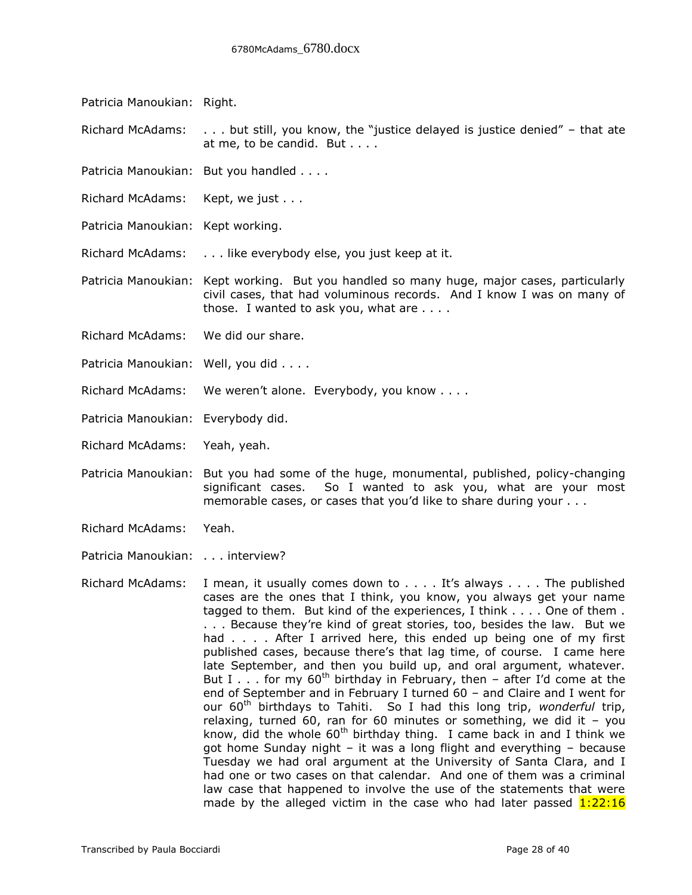Patricia Manoukian: Right.

Richard McAdams: . . . but still, you know, the "justice delayed is justice denied" – that ate at me, to be candid. But . . . .

- Patricia Manoukian: But you handled . . . .
- Richard McAdams: Kept, we just . . .
- Patricia Manoukian: Kept working.

Richard McAdams: . . . like everybody else, you just keep at it.

Patricia Manoukian: Kept working. But you handled so many huge, major cases, particularly civil cases, that had voluminous records. And I know I was on many of those. I wanted to ask you, what are . . . .

- Richard McAdams: We did our share.
- Patricia Manoukian: Well, you did . . . .
- Richard McAdams: We weren't alone. Everybody, you know . . . .
- Patricia Manoukian: Everybody did.
- Richard McAdams: Yeah, yeah.
- Patricia Manoukian: But you had some of the huge, monumental, published, policy-changing significant cases. So I wanted to ask you, what are your most memorable cases, or cases that you'd like to share during your . . .
- Richard McAdams: Yeah.
- Patricia Manoukian: . . . interview?

Richard McAdams: I mean, it usually comes down to . . . . It's always . . . . The published cases are the ones that I think, you know, you always get your name tagged to them. But kind of the experiences, I think . . . . One of them . . . . Because they're kind of great stories, too, besides the law. But we had . . . . After I arrived here, this ended up being one of my first published cases, because there's that lag time, of course. I came here late September, and then you build up, and oral argument, whatever. But I  $\ldots$  for my 60<sup>th</sup> birthday in February, then – after I'd come at the end of September and in February I turned 60 – and Claire and I went for our 60th birthdays to Tahiti. So I had this long trip, *wonderful* trip, relaxing, turned 60, ran for 60 minutes or something, we did it  $-$  you know, did the whole  $60<sup>th</sup>$  birthday thing. I came back in and I think we got home Sunday night – it was a long flight and everything – because Tuesday we had oral argument at the University of Santa Clara, and I had one or two cases on that calendar. And one of them was a criminal law case that happened to involve the use of the statements that were made by the alleged victim in the case who had later passed  $1:22:16$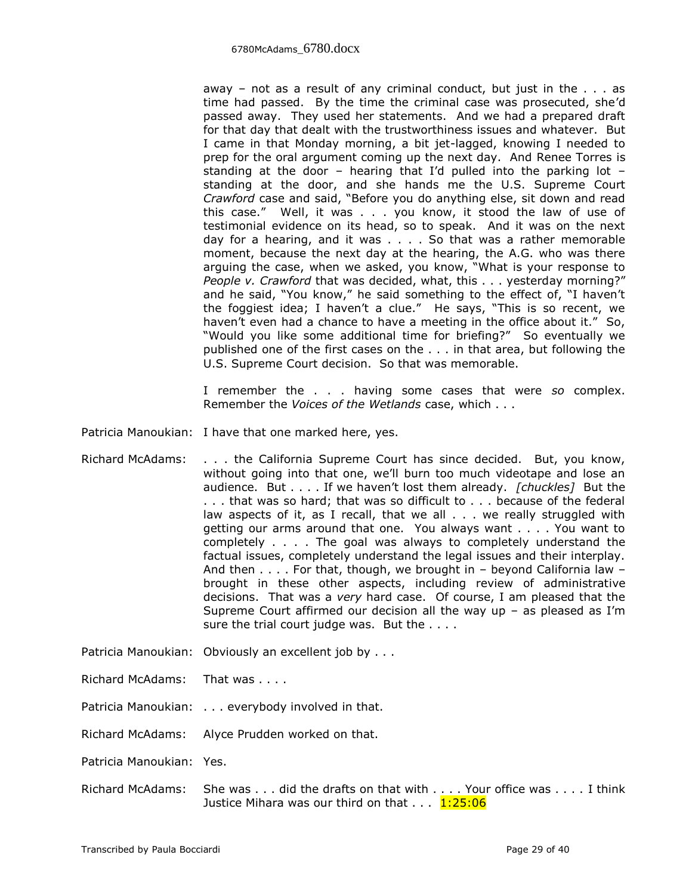away – not as a result of any criminal conduct, but just in the  $\ldots$  as time had passed. By the time the criminal case was prosecuted, she'd passed away. They used her statements. And we had a prepared draft for that day that dealt with the trustworthiness issues and whatever. But I came in that Monday morning, a bit jet-lagged, knowing I needed to prep for the oral argument coming up the next day. And Renee Torres is standing at the door – hearing that I'd pulled into the parking lot – standing at the door, and she hands me the U.S. Supreme Court *Crawford* case and said, "Before you do anything else, sit down and read this case." Well, it was . . . you know, it stood the law of use of testimonial evidence on its head, so to speak. And it was on the next day for a hearing, and it was . . . . So that was a rather memorable moment, because the next day at the hearing, the A.G. who was there arguing the case, when we asked, you know, "What is your response to *People v. Crawford* that was decided, what, this . . . yesterday morning?" and he said, "You know," he said something to the effect of, "I haven't the foggiest idea; I haven't a clue." He says, "This is so recent, we haven't even had a chance to have a meeting in the office about it." So, "Would you like some additional time for briefing?" So eventually we published one of the first cases on the . . . in that area, but following the U.S. Supreme Court decision. So that was memorable.

I remember the . . . having some cases that were *so* complex. Remember the *Voices of the Wetlands* case, which . . .

Patricia Manoukian: I have that one marked here, yes.

- Richard McAdams: . . . the California Supreme Court has since decided. But, you know, without going into that one, we'll burn too much videotape and lose an audience. But . . . . If we haven't lost them already. *[chuckles]* But the . . . that was so hard; that was so difficult to . . . because of the federal law aspects of it, as I recall, that we all . . . we really struggled with getting our arms around that one. You always want . . . . You want to completely . . . . The goal was always to completely understand the factual issues, completely understand the legal issues and their interplay. And then . . . . For that, though, we brought in – beyond California law – brought in these other aspects, including review of administrative decisions. That was a *very* hard case. Of course, I am pleased that the Supreme Court affirmed our decision all the way up – as pleased as I'm sure the trial court judge was. But the . . . .
- Patricia Manoukian: Obviously an excellent job by . . .
- Richard McAdams: That was . . . .
- Patricia Manoukian: . . . everybody involved in that.

Richard McAdams: Alyce Prudden worked on that.

Patricia Manoukian: Yes.

Richard McAdams: She was . . . did the drafts on that with . . . . Your office was . . . . I think Justice Mihara was our third on that  $\dots$   $1:25:06$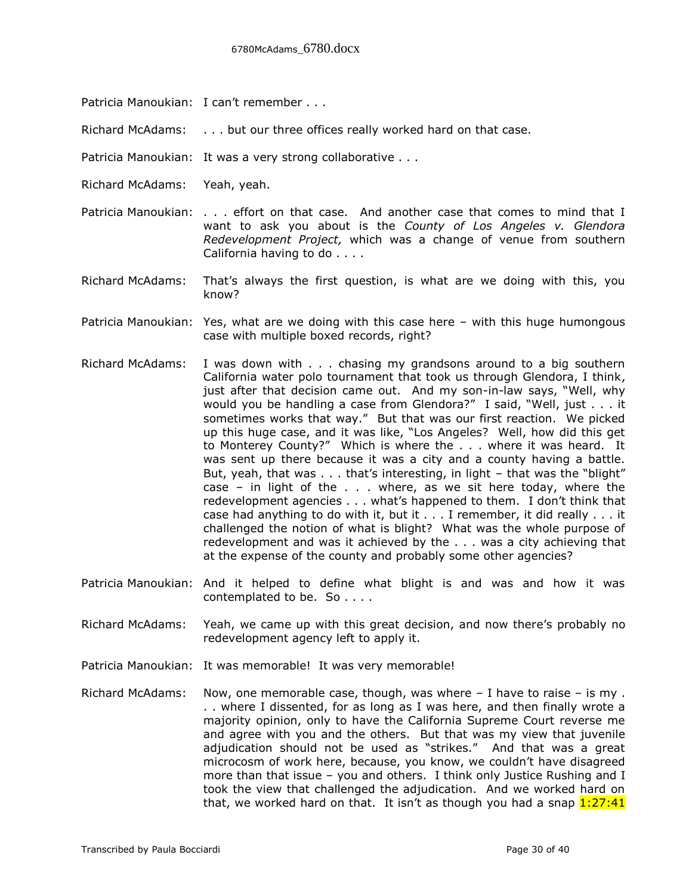- Patricia Manoukian: I can't remember . . .
- Richard McAdams: . . . but our three offices really worked hard on that case.
- Patricia Manoukian: It was a very strong collaborative . . .
- Richard McAdams: Yeah, yeah.
- Patricia Manoukian: . . . effort on that case. And another case that comes to mind that I want to ask you about is the *County of Los Angeles v. Glendora Redevelopment Project,* which was a change of venue from southern California having to do . . . .
- Richard McAdams: That's always the first question, is what are we doing with this, you know?
- Patricia Manoukian: Yes, what are we doing with this case here with this huge humongous case with multiple boxed records, right?
- Richard McAdams: I was down with . . . chasing my grandsons around to a big southern California water polo tournament that took us through Glendora, I think, just after that decision came out. And my son-in-law says, "Well, why would you be handling a case from Glendora?" I said, "Well, just . . . it sometimes works that way." But that was our first reaction. We picked up this huge case, and it was like, "Los Angeles? Well, how did this get to Monterey County?" Which is where the . . . where it was heard. It was sent up there because it was a city and a county having a battle. But, yeah, that was . . . that's interesting, in light – that was the "blight" case – in light of the  $\ldots$  where, as we sit here today, where the redevelopment agencies . . . what's happened to them. I don't think that case had anything to do with it, but it  $\dots$  I remember, it did really  $\dots$  it challenged the notion of what is blight? What was the whole purpose of redevelopment and was it achieved by the . . . was a city achieving that at the expense of the county and probably some other agencies?
- Patricia Manoukian: And it helped to define what blight is and was and how it was contemplated to be. So . . . .
- Richard McAdams: Yeah, we came up with this great decision, and now there's probably no redevelopment agency left to apply it.
- Patricia Manoukian: It was memorable! It was very memorable!
- Richard McAdams: Now, one memorable case, though, was where I have to raise is my . . . where I dissented, for as long as I was here, and then finally wrote a majority opinion, only to have the California Supreme Court reverse me and agree with you and the others. But that was my view that juvenile adjudication should not be used as "strikes." And that was a great microcosm of work here, because, you know, we couldn't have disagreed more than that issue – you and others. I think only Justice Rushing and I took the view that challenged the adjudication. And we worked hard on that, we worked hard on that. It isn't as though you had a snap  $1:27:41$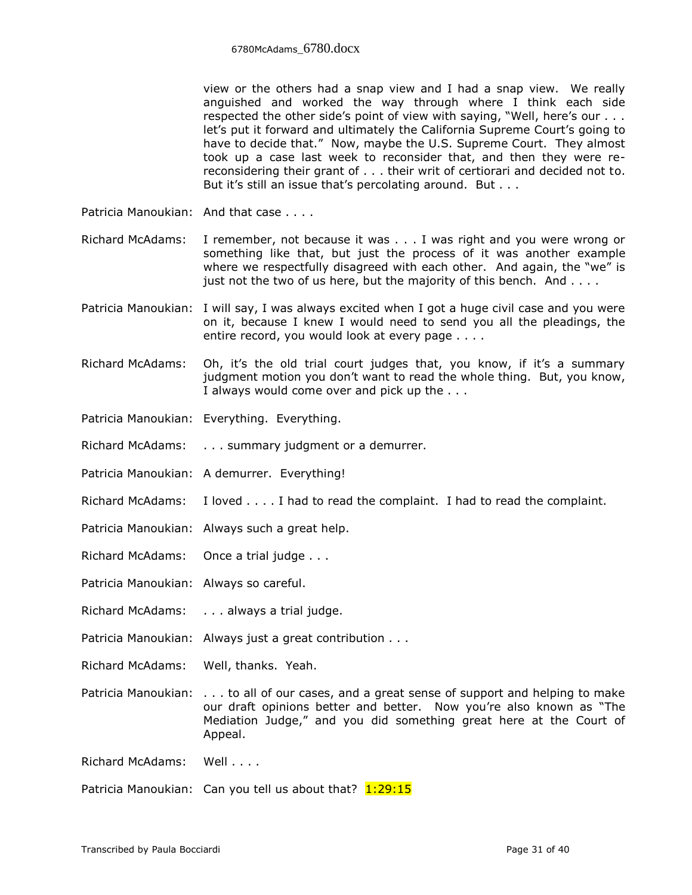view or the others had a snap view and I had a snap view. We really anguished and worked the way through where I think each side respected the other side's point of view with saying, "Well, here's our . . . let's put it forward and ultimately the California Supreme Court's going to have to decide that." Now, maybe the U.S. Supreme Court. They almost took up a case last week to reconsider that, and then they were rereconsidering their grant of . . . their writ of certiorari and decided not to. But it's still an issue that's percolating around. But . . .

Patricia Manoukian: And that case . . . .

- Richard McAdams: I remember, not because it was . . . I was right and you were wrong or something like that, but just the process of it was another example where we respectfully disagreed with each other. And again, the "we" is just not the two of us here, but the majority of this bench. And . . . .
- Patricia Manoukian: I will say, I was always excited when I got a huge civil case and you were on it, because I knew I would need to send you all the pleadings, the entire record, you would look at every page . . . .
- Richard McAdams: Oh, it's the old trial court judges that, you know, if it's a summary judgment motion you don't want to read the whole thing. But, you know, I always would come over and pick up the . . .
- Patricia Manoukian: Everything. Everything.
- Richard McAdams: . . . summary judgment or a demurrer.
- Patricia Manoukian: A demurrer. Everything!
- Richard McAdams: I loved . . . . I had to read the complaint. I had to read the complaint.
- Patricia Manoukian: Always such a great help.
- Richard McAdams: Once a trial judge . . .
- Patricia Manoukian: Always so careful.
- Richard McAdams: . . . always a trial judge.
- Patricia Manoukian: Always just a great contribution . . .
- Richard McAdams: Well, thanks. Yeah.
- Patricia Manoukian: . . . to all of our cases, and a great sense of support and helping to make our draft opinions better and better. Now you're also known as "The Mediation Judge," and you did something great here at the Court of Appeal.
- Richard McAdams: Well . . . .
- Patricia Manoukian: Can you tell us about that?  $1:29:15$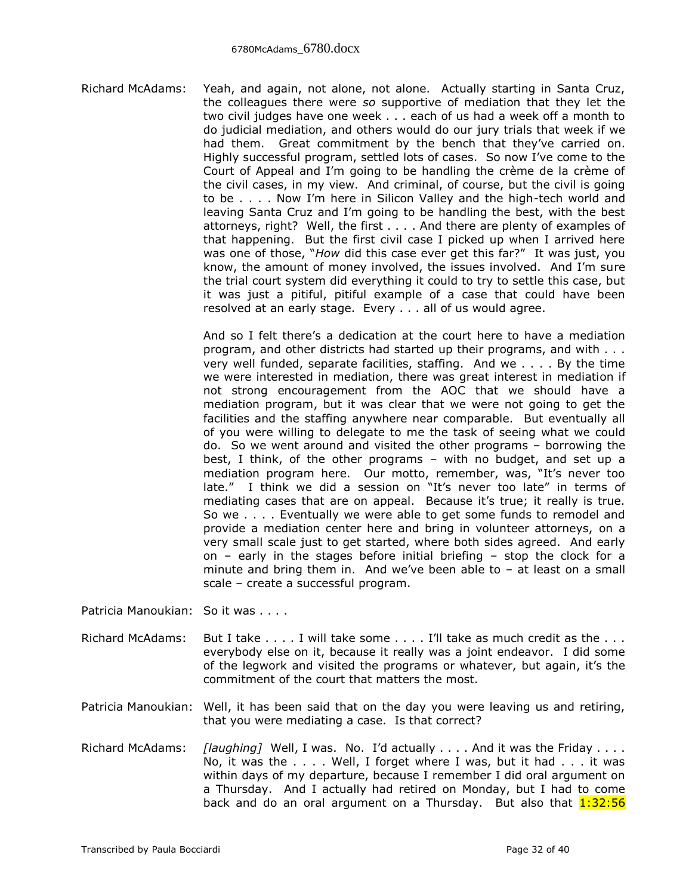Richard McAdams: Yeah, and again, not alone, not alone. Actually starting in Santa Cruz, the colleagues there were *so* supportive of mediation that they let the two civil judges have one week . . . each of us had a week off a month to do judicial mediation, and others would do our jury trials that week if we had them. Great commitment by the bench that they've carried on. Highly successful program, settled lots of cases. So now I've come to the Court of Appeal and I'm going to be handling the crème de la crème of the civil cases, in my view. And criminal, of course, but the civil is going to be . . . . Now I'm here in Silicon Valley and the high-tech world and leaving Santa Cruz and I'm going to be handling the best, with the best attorneys, right? Well, the first . . . . And there are plenty of examples of that happening. But the first civil case I picked up when I arrived here was one of those, "*How* did this case ever get this far?" It was just, you know, the amount of money involved, the issues involved. And I'm sure the trial court system did everything it could to try to settle this case, but it was just a pitiful, pitiful example of a case that could have been resolved at an early stage. Every . . . all of us would agree.

> And so I felt there's a dedication at the court here to have a mediation program, and other districts had started up their programs, and with . . . very well funded, separate facilities, staffing. And we . . . . By the time we were interested in mediation, there was great interest in mediation if not strong encouragement from the AOC that we should have a mediation program, but it was clear that we were not going to get the facilities and the staffing anywhere near comparable. But eventually all of you were willing to delegate to me the task of seeing what we could do. So we went around and visited the other programs – borrowing the best, I think, of the other programs – with no budget, and set up a mediation program here. Our motto, remember, was, "It's never too late." I think we did a session on "It's never too late" in terms of mediating cases that are on appeal. Because it's true; it really is true. So we . . . . Eventually we were able to get some funds to remodel and provide a mediation center here and bring in volunteer attorneys, on a very small scale just to get started, where both sides agreed. And early on – early in the stages before initial briefing – stop the clock for a minute and bring them in. And we've been able to  $-$  at least on a small scale – create a successful program.

Patricia Manoukian: So it was . . . .

- Richard McAdams: But I take . . . . I will take some . . . . I'll take as much credit as the . . . everybody else on it, because it really was a joint endeavor. I did some of the legwork and visited the programs or whatever, but again, it's the commitment of the court that matters the most.
- Patricia Manoukian: Well, it has been said that on the day you were leaving us and retiring, that you were mediating a case. Is that correct?
- Richard McAdams: *[laughing]* Well, I was. No. I'd actually . . . . And it was the Friday . . . . No, it was the . . . . Well, I forget where I was, but it had . . . it was within days of my departure, because I remember I did oral argument on a Thursday. And I actually had retired on Monday, but I had to come back and do an oral argument on a Thursday. But also that  $1:32:56$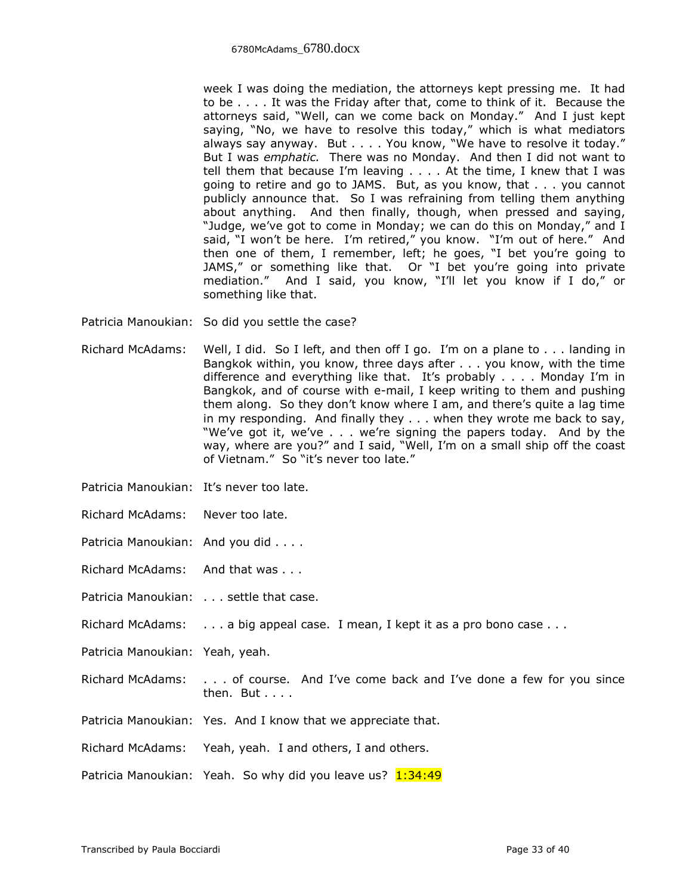week I was doing the mediation, the attorneys kept pressing me. It had to be . . . . It was the Friday after that, come to think of it. Because the attorneys said, "Well, can we come back on Monday." And I just kept saying, "No, we have to resolve this today," which is what mediators always say anyway. But . . . . You know, "We have to resolve it today." But I was *emphatic.* There was no Monday. And then I did not want to tell them that because I'm leaving . . . . At the time, I knew that I was going to retire and go to JAMS. But, as you know, that . . . you cannot publicly announce that. So I was refraining from telling them anything about anything. And then finally, though, when pressed and saying, "Judge, we've got to come in Monday; we can do this on Monday," and I said, "I won't be here. I'm retired," you know. "I'm out of here." And then one of them, I remember, left; he goes, "I bet you're going to JAMS," or something like that. Or "I bet you're going into private mediation." And I said, you know, "I'll let you know if I do," or something like that.

Patricia Manoukian: So did you settle the case?

- Richard McAdams: Well, I did. So I left, and then off I go. I'm on a plane to . . . landing in Bangkok within, you know, three days after . . . you know, with the time difference and everything like that. It's probably . . . . Monday I'm in Bangkok, and of course with e-mail, I keep writing to them and pushing them along. So they don't know where I am, and there's quite a lag time in my responding. And finally they . . . when they wrote me back to say, "We've got it, we've . . . we're signing the papers today. And by the way, where are you?" and I said, "Well, I'm on a small ship off the coast of Vietnam." So "it's never too late."
- Patricia Manoukian: It's never too late.
- Richard McAdams: Never too late.
- Patricia Manoukian: And you did . . . .
- Richard McAdams: And that was . . .
- Patricia Manoukian: . . . settle that case.
- Richard McAdams: . . . a big appeal case. I mean, I kept it as a pro bono case . . .
- Patricia Manoukian: Yeah, yeah.
- Richard McAdams: . . . of course. And I've come back and I've done a few for you since then. But . . . .
- Patricia Manoukian: Yes. And I know that we appreciate that.
- Richard McAdams: Yeah, yeah. I and others, I and others.
- Patricia Manoukian: Yeah. So why did you leave us? 1:34:49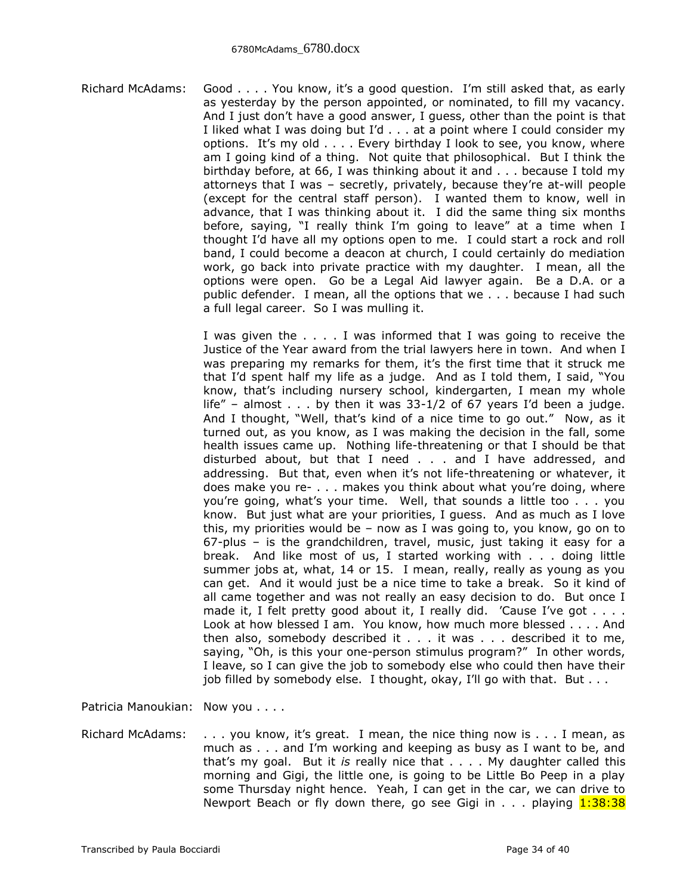Richard McAdams: Good . . . . You know, it's a good question. I'm still asked that, as early as yesterday by the person appointed, or nominated, to fill my vacancy. And I just don't have a good answer, I guess, other than the point is that I liked what I was doing but I'd . . . at a point where I could consider my options. It's my old . . . . Every birthday I look to see, you know, where am I going kind of a thing. Not quite that philosophical. But I think the birthday before, at 66, I was thinking about it and . . . because I told my attorneys that I was – secretly, privately, because they're at-will people (except for the central staff person). I wanted them to know, well in advance, that I was thinking about it. I did the same thing six months before, saying, "I really think I'm going to leave" at a time when I thought I'd have all my options open to me. I could start a rock and roll band, I could become a deacon at church, I could certainly do mediation work, go back into private practice with my daughter. I mean, all the options were open. Go be a Legal Aid lawyer again. Be a D.A. or a public defender. I mean, all the options that we . . . because I had such a full legal career. So I was mulling it.

> I was given the . . . . I was informed that I was going to receive the Justice of the Year award from the trial lawyers here in town. And when I was preparing my remarks for them, it's the first time that it struck me that I'd spent half my life as a judge. And as I told them, I said, "You know, that's including nursery school, kindergarten, I mean my whole life" – almost  $\ldots$  by then it was 33-1/2 of 67 years I'd been a judge. And I thought, "Well, that's kind of a nice time to go out." Now, as it turned out, as you know, as I was making the decision in the fall, some health issues came up. Nothing life-threatening or that I should be that disturbed about, but that I need . . . and I have addressed, and addressing. But that, even when it's not life-threatening or whatever, it does make you re- . . . makes you think about what you're doing, where you're going, what's your time. Well, that sounds a little too . . . you know. But just what are your priorities, I guess. And as much as I love this, my priorities would be – now as I was going to, you know, go on to 67-plus – is the grandchildren, travel, music, just taking it easy for a break. And like most of us, I started working with . . . doing little summer jobs at, what, 14 or 15. I mean, really, really as young as you can get. And it would just be a nice time to take a break. So it kind of all came together and was not really an easy decision to do. But once I made it, I felt pretty good about it, I really did. 'Cause I've got . . . . Look at how blessed I am. You know, how much more blessed . . . . And then also, somebody described it . . . it was . . . described it to me, saying, "Oh, is this your one-person stimulus program?" In other words, I leave, so I can give the job to somebody else who could then have their job filled by somebody else. I thought, okay, I'll go with that. But . . .

Patricia Manoukian: Now you . . . .

Richard McAdams: . . . you know, it's great. I mean, the nice thing now is . . . I mean, as much as . . . and I'm working and keeping as busy as I want to be, and that's my goal. But it *is* really nice that . . . . My daughter called this morning and Gigi, the little one, is going to be Little Bo Peep in a play some Thursday night hence. Yeah, I can get in the car, we can drive to Newport Beach or fly down there, go see Gigi in  $\ldots$  playing  $1:38:38$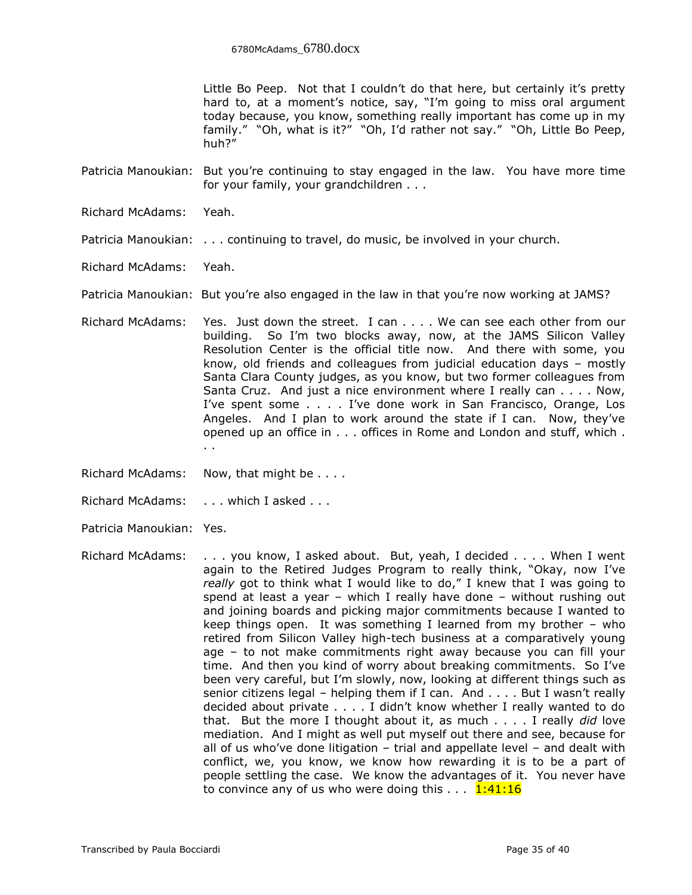Little Bo Peep. Not that I couldn't do that here, but certainly it's pretty hard to, at a moment's notice, say, "I'm going to miss oral argument today because, you know, something really important has come up in my family." "Oh, what is it?" "Oh, I'd rather not say." "Oh, Little Bo Peep, huh?"

Patricia Manoukian: But you're continuing to stay engaged in the law. You have more time for your family, your grandchildren . . .

- Richard McAdams: Yeah.
- Patricia Manoukian: . . . continuing to travel, do music, be involved in your church.
- Richard McAdams: Yeah.

Patricia Manoukian: But you're also engaged in the law in that you're now working at JAMS?

- Richard McAdams: Yes. Just down the street. I can . . . . We can see each other from our building. So I'm two blocks away, now, at the JAMS Silicon Valley Resolution Center is the official title now. And there with some, you know, old friends and colleagues from judicial education days – mostly Santa Clara County judges, as you know, but two former colleagues from Santa Cruz. And just a nice environment where I really can . . . . Now, I've spent some . . . . I've done work in San Francisco, Orange, Los Angeles. And I plan to work around the state if I can. Now, they've opened up an office in . . . offices in Rome and London and stuff, which . . .
- Richard McAdams: Now, that might be . . . .

Richard McAdams: . . . . which I asked . . .

- Patricia Manoukian: Yes.
- Richard McAdams: . . . you know, I asked about. But, yeah, I decided . . . . When I went again to the Retired Judges Program to really think, "Okay, now I've *really* got to think what I would like to do," I knew that I was going to spend at least a year – which I really have done – without rushing out and joining boards and picking major commitments because I wanted to keep things open. It was something I learned from my brother – who retired from Silicon Valley high-tech business at a comparatively young age – to not make commitments right away because you can fill your time. And then you kind of worry about breaking commitments. So I've been very careful, but I'm slowly, now, looking at different things such as senior citizens legal – helping them if I can. And  $\dots$ . But I wasn't really decided about private . . . . I didn't know whether I really wanted to do that. But the more I thought about it, as much . . . . I really *did* love mediation. And I might as well put myself out there and see, because for all of us who've done litigation – trial and appellate level – and dealt with conflict, we, you know, we know how rewarding it is to be a part of people settling the case. We know the advantages of it. You never have to convince any of us who were doing this  $\dots$  1:41:16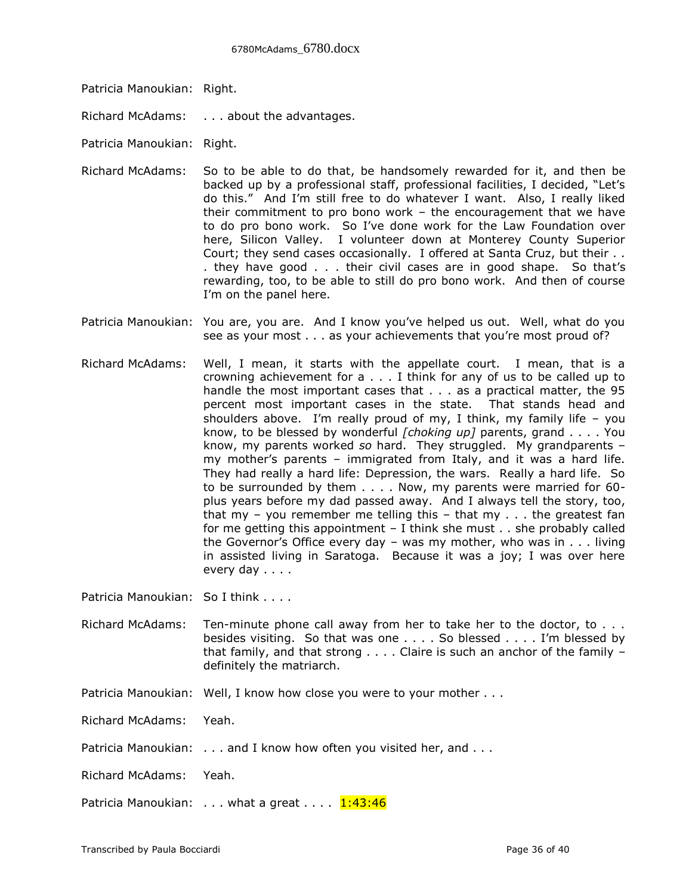- Patricia Manoukian: Right.
- Richard McAdams: . . . about the advantages.
- Patricia Manoukian: Right.
- Richard McAdams: So to be able to do that, be handsomely rewarded for it, and then be backed up by a professional staff, professional facilities, I decided, "Let's do this." And I'm still free to do whatever I want. Also, I really liked their commitment to pro bono work – the encouragement that we have to do pro bono work. So I've done work for the Law Foundation over here, Silicon Valley. I volunteer down at Monterey County Superior Court; they send cases occasionally. I offered at Santa Cruz, but their . . . they have good . . . their civil cases are in good shape. So that's rewarding, too, to be able to still do pro bono work. And then of course I'm on the panel here.
- Patricia Manoukian: You are, you are. And I know you've helped us out. Well, what do you see as your most . . . as your achievements that you're most proud of?
- Richard McAdams: Well, I mean, it starts with the appellate court. I mean, that is a crowning achievement for a . . . I think for any of us to be called up to handle the most important cases that . . . as a practical matter, the 95 percent most important cases in the state. That stands head and shoulders above. I'm really proud of my, I think, my family life – you know, to be blessed by wonderful *[choking up]* parents, grand . . . . You know, my parents worked *so* hard. They struggled. My grandparents – my mother's parents – immigrated from Italy, and it was a hard life. They had really a hard life: Depression, the wars. Really a hard life. So to be surrounded by them . . . . Now, my parents were married for 60 plus years before my dad passed away. And I always tell the story, too, that my – you remember me telling this – that my  $\ldots$  the greatest fan for me getting this appointment – I think she must . . she probably called the Governor's Office every day – was my mother, who was in . . . living in assisted living in Saratoga. Because it was a joy; I was over here every day . . . .

Patricia Manoukian: So I think . . . .

- Richard McAdams: Ten-minute phone call away from her to take her to the doctor, to . . . besides visiting. So that was one . . . . So blessed . . . . I'm blessed by that family, and that strong . . . . Claire is such an anchor of the family – definitely the matriarch.
- Patricia Manoukian: Well, I know how close you were to your mother . . .
- Richard McAdams: Yeah.
- Patricia Manoukian: . . . and I know how often you visited her, and . . .
- Richard McAdams: Yeah.

Patricia Manoukian:  $\dots$  what a great  $\dots$   $1:43:46$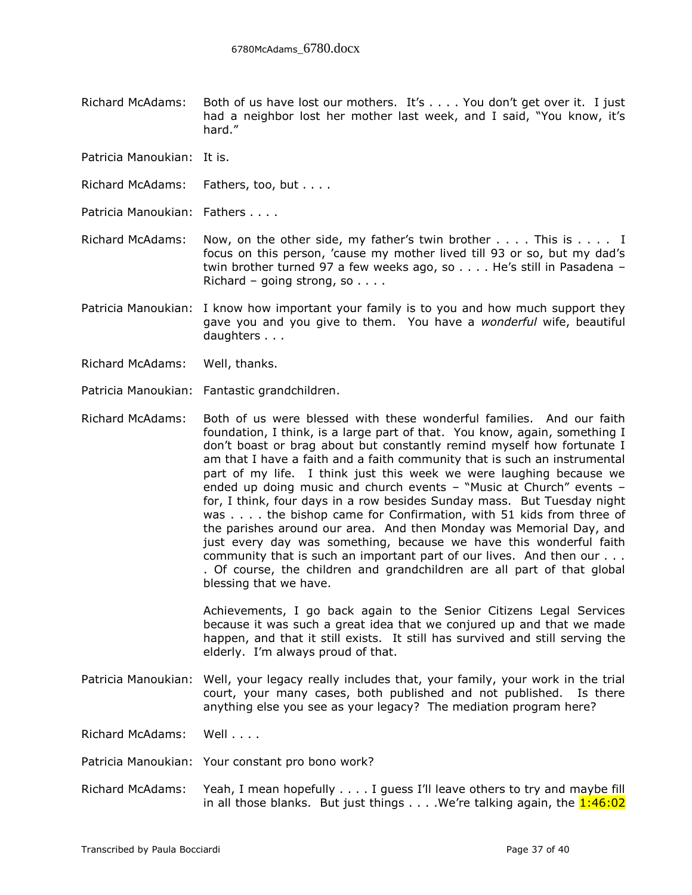Richard McAdams: Both of us have lost our mothers. It's . . . . You don't get over it. I just had a neighbor lost her mother last week, and I said, "You know, it's hard."

Patricia Manoukian: It is.

Richard McAdams: Fathers, too, but . . . .

Patricia Manoukian: Fathers . . . .

Richard McAdams: Now, on the other side, my father's twin brother . . . . This is . . . . I focus on this person, 'cause my mother lived till 93 or so, but my dad's twin brother turned 97 a few weeks ago, so . . . . He's still in Pasadena – Richard – going strong, so  $\dots$ 

Patricia Manoukian: I know how important your family is to you and how much support they gave you and you give to them. You have a *wonderful* wife, beautiful daughters . . .

Richard McAdams: Well, thanks.

Patricia Manoukian: Fantastic grandchildren.

Richard McAdams: Both of us were blessed with these wonderful families. And our faith foundation, I think, is a large part of that. You know, again, something I don't boast or brag about but constantly remind myself how fortunate I am that I have a faith and a faith community that is such an instrumental part of my life. I think just this week we were laughing because we ended up doing music and church events – "Music at Church" events – for, I think, four days in a row besides Sunday mass. But Tuesday night was . . . . the bishop came for Confirmation, with 51 kids from three of the parishes around our area. And then Monday was Memorial Day, and just every day was something, because we have this wonderful faith community that is such an important part of our lives. And then our . . . . Of course, the children and grandchildren are all part of that global blessing that we have.

> Achievements, I go back again to the Senior Citizens Legal Services because it was such a great idea that we conjured up and that we made happen, and that it still exists. It still has survived and still serving the elderly. I'm always proud of that.

Patricia Manoukian: Well, your legacy really includes that, your family, your work in the trial court, your many cases, both published and not published. Is there anything else you see as your legacy? The mediation program here?

Richard McAdams: Well . . . .

Patricia Manoukian: Your constant pro bono work?

Richard McAdams: Yeah, I mean hopefully . . . . I guess I'll leave others to try and maybe fill in all those blanks. But just things  $\dots$ . We're talking again, the  $1:46:02$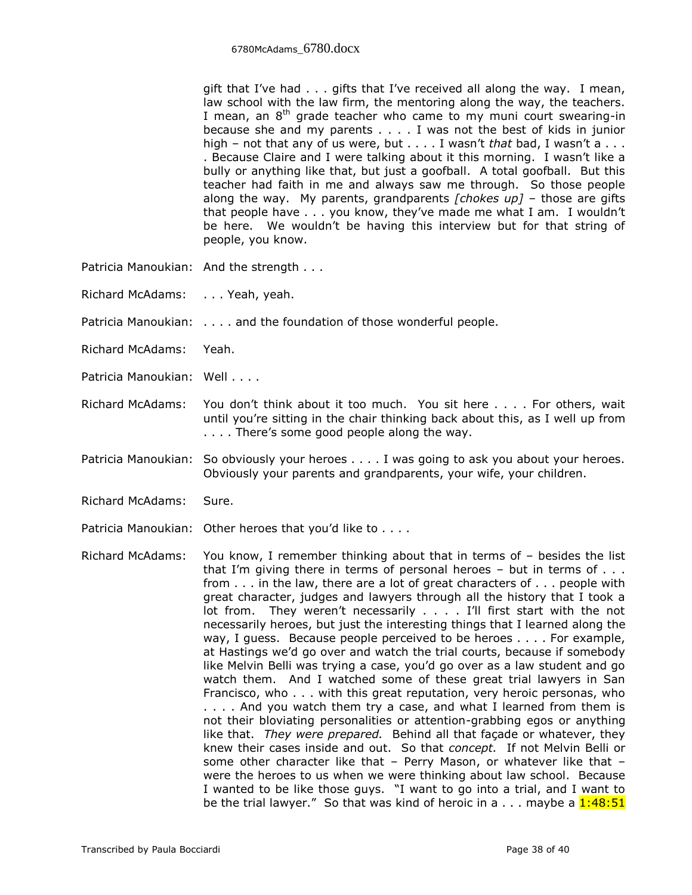gift that I've had . . . gifts that I've received all along the way. I mean, law school with the law firm, the mentoring along the way, the teachers. I mean, an  $8<sup>th</sup>$  grade teacher who came to my muni court swearing-in because she and my parents . . . . I was not the best of kids in junior high – not that any of us were, but . . . . I wasn't *that* bad, I wasn't a . . . . Because Claire and I were talking about it this morning. I wasn't like a bully or anything like that, but just a goofball. A total goofball. But this teacher had faith in me and always saw me through. So those people along the way. My parents, grandparents *[chokes up]* – those are gifts that people have . . . you know, they've made me what I am. I wouldn't be here. We wouldn't be having this interview but for that string of people, you know.

- Patricia Manoukian: And the strength . . .
- Richard McAdams: . . . Yeah, yeah.
- Patricia Manoukian: . . . . and the foundation of those wonderful people.
- Richard McAdams: Yeah.
- Patricia Manoukian: Well . . . .
- Richard McAdams: You don't think about it too much. You sit here . . . . For others, wait until you're sitting in the chair thinking back about this, as I well up from . . . . There's some good people along the way.
- Patricia Manoukian: So obviously your heroes . . . . I was going to ask you about your heroes. Obviously your parents and grandparents, your wife, your children.
- Richard McAdams: Sure.
- Patricia Manoukian: Other heroes that you'd like to . . . .

Richard McAdams: You know, I remember thinking about that in terms of – besides the list that I'm giving there in terms of personal heroes  $-$  but in terms of  $\ldots$ from . . . in the law, there are a lot of great characters of . . . people with great character, judges and lawyers through all the history that I took a lot from. They weren't necessarily . . . . I'll first start with the not necessarily heroes, but just the interesting things that I learned along the way, I guess. Because people perceived to be heroes . . . . For example, at Hastings we'd go over and watch the trial courts, because if somebody like Melvin Belli was trying a case, you'd go over as a law student and go watch them. And I watched some of these great trial lawyers in San Francisco, who . . . with this great reputation, very heroic personas, who . . . . And you watch them try a case, and what I learned from them is not their bloviating personalities or attention-grabbing egos or anything like that. *They were prepared.* Behind all that façade or whatever, they knew their cases inside and out. So that *concept.* If not Melvin Belli or some other character like that – Perry Mason, or whatever like that – were the heroes to us when we were thinking about law school. Because I wanted to be like those guys. "I want to go into a trial, and I want to be the trial lawyer." So that was kind of heroic in a  $\dots$  maybe a  $1:48:51$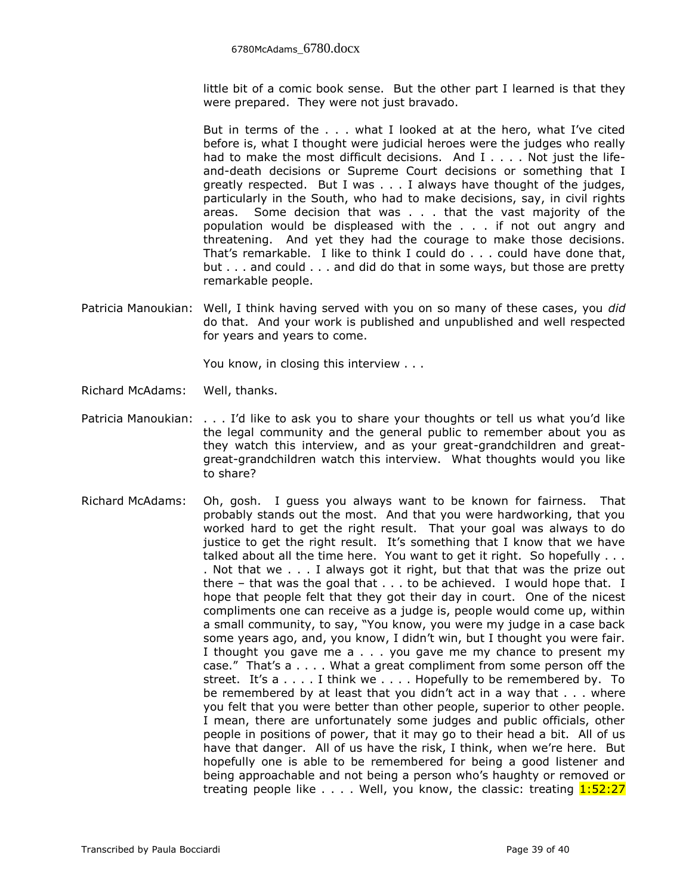little bit of a comic book sense. But the other part I learned is that they were prepared. They were not just bravado.

But in terms of the . . . what I looked at at the hero, what I've cited before is, what I thought were judicial heroes were the judges who really had to make the most difficult decisions. And  $I \ldots$ . Not just the lifeand-death decisions or Supreme Court decisions or something that I greatly respected. But I was . . . I always have thought of the judges, particularly in the South, who had to make decisions, say, in civil rights areas. Some decision that was . . . that the vast majority of the population would be displeased with the . . . if not out angry and threatening. And yet they had the courage to make those decisions. That's remarkable. I like to think I could do . . . could have done that, but . . . and could . . . and did do that in some ways, but those are pretty remarkable people.

Patricia Manoukian: Well, I think having served with you on so many of these cases, you *did* do that. And your work is published and unpublished and well respected for years and years to come.

You know, in closing this interview . . .

- Richard McAdams: Well, thanks.
- Patricia Manoukian: . . . I'd like to ask you to share your thoughts or tell us what you'd like the legal community and the general public to remember about you as they watch this interview, and as your great-grandchildren and greatgreat-grandchildren watch this interview. What thoughts would you like to share?
- Richard McAdams: Oh, gosh. I guess you always want to be known for fairness. That probably stands out the most. And that you were hardworking, that you worked hard to get the right result. That your goal was always to do justice to get the right result. It's something that I know that we have talked about all the time here. You want to get it right. So hopefully . . . . Not that we . . . I always got it right, but that that was the prize out there – that was the goal that . . . to be achieved. I would hope that. I hope that people felt that they got their day in court. One of the nicest compliments one can receive as a judge is, people would come up, within a small community, to say, "You know, you were my judge in a case back some years ago, and, you know, I didn't win, but I thought you were fair. I thought you gave me a . . . you gave me my chance to present my case." That's a . . . . What a great compliment from some person off the street. It's a . . . . I think we . . . . Hopefully to be remembered by. To be remembered by at least that you didn't act in a way that . . . where you felt that you were better than other people, superior to other people. I mean, there are unfortunately some judges and public officials, other people in positions of power, that it may go to their head a bit. All of us have that danger. All of us have the risk, I think, when we're here. But hopefully one is able to be remembered for being a good listener and being approachable and not being a person who's haughty or removed or treating people like  $\dots$ . Well, you know, the classic: treating  $1:52:27$